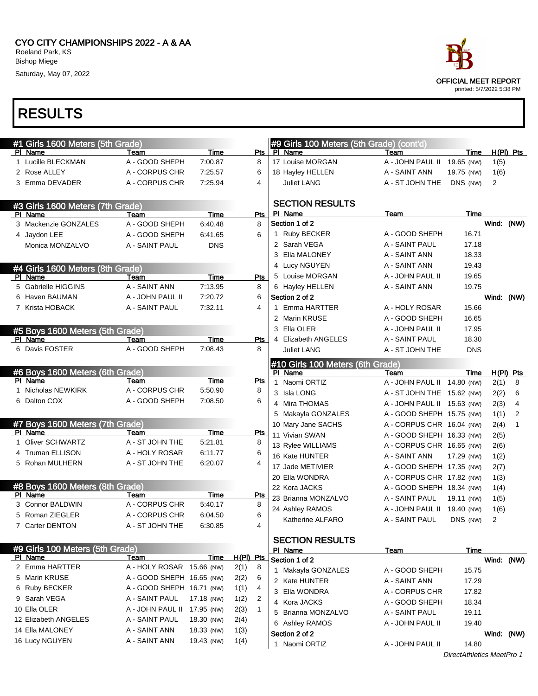# RESULTS

| ace                       |
|---------------------------|
| OFFICIAL MEET REPORT      |
| printed: 5/7/2022 5:38 PM |

| #1 Girls 1600 Meters (5th Grade) |                           |                 |                      | #9 Girls 100 Meters (5th Grade) (cont'd)    |                                     |                |                |                |
|----------------------------------|---------------------------|-----------------|----------------------|---------------------------------------------|-------------------------------------|----------------|----------------|----------------|
| PI Name<br>1 Lucille BLECKMAN    | Team<br>A - GOOD SHEPH    | Time<br>7:00.87 | Pts<br>8             | PI Name<br>17 Louise MORGAN                 | Team<br>A - JOHN PAUL II 19.65 (NW) | Time           |                | $H(PI)$ Pts    |
| 2 Rose ALLEY                     | A - CORPUS CHR            | 7:25.57         | 6                    |                                             | A - SAINT ANN                       | 19.75 (NW)     | 1(5)           |                |
|                                  |                           |                 | 4                    | 18 Hayley HELLEN                            |                                     |                | 1(6)           |                |
| 3 Emma DEVADER                   | A - CORPUS CHR            | 7:25.94         |                      | <b>Juliet LANG</b>                          | A - ST JOHN THE                     | DNS (NW)       | $\overline{2}$ |                |
| #3 Girls 1600 Meters (7th Grade) |                           |                 |                      | <b>SECTION RESULTS</b>                      |                                     |                |                |                |
| PI Name                          | Team                      | Time            | Pts                  | PI Name                                     | Team                                | <b>Time</b>    |                |                |
| 3 Mackenzie GONZALES             | A - GOOD SHEPH            | 6:40.48         | 8                    | Section 1 of 2                              |                                     |                | Wind: (NW)     |                |
| 4 Jaydon LEE                     | A - GOOD SHEPH            | 6:41.65         | 6                    | 1 Ruby BECKER                               | A - GOOD SHEPH                      | 16.71          |                |                |
| Monica MONZALVO                  | A - SAINT PAUL            | <b>DNS</b>      |                      | 2 Sarah VEGA                                | A - SAINT PAUL                      | 17.18          |                |                |
|                                  |                           |                 |                      | 3 Ella MALONEY                              | A - SAINT ANN                       | 18.33          |                |                |
| #4 Girls 1600 Meters (8th Grade) |                           |                 |                      | 4 Lucy NGUYEN                               | A - SAINT ANN                       | 19.43          |                |                |
| PI Name                          | Team                      | Time            | Pts                  | 5 Louise MORGAN                             | A - JOHN PAUL II                    | 19.65          |                |                |
| 5 Gabrielle HIGGINS              | A - SAINT ANN             | 7:13.95         | 8                    | 6 Hayley HELLEN                             | A - SAINT ANN                       | 19.75          |                |                |
| 6 Haven BAUMAN                   | A - JOHN PAUL II          | 7:20.72         | 6                    | Section 2 of 2                              |                                     |                | Wind: (NW)     |                |
| 7 Krista HOBACK                  | A - SAINT PAUL            | 7.32.11         | 4                    | 1 Emma HARTTER                              | A - HOLY ROSAR                      | 15.66          |                |                |
|                                  |                           |                 |                      | 2 Marin KRUSE                               | A - GOOD SHEPH                      | 16.65          |                |                |
| #5 Boys 1600 Meters (5th Grade)  |                           |                 |                      | 3 Ella OLER                                 | A - JOHN PAUL II                    | 17.95          |                |                |
| PI Name                          | Team                      | Time            | Pts                  | 4 Elizabeth ANGELES                         | A - SAINT PAUL                      | 18.30          |                |                |
| 6 Davis FOSTER                   | A - GOOD SHEPH            | 7:08.43         | 8                    | <b>Juliet LANG</b>                          | A - ST JOHN THE                     | <b>DNS</b>     |                |                |
|                                  |                           |                 |                      |                                             |                                     |                |                |                |
| #6 Boys 1600 Meters (6th Grade)  |                           |                 |                      | #10 Girls 100 Meters (6th Grade)<br>PI Name | Team                                | Time           |                | $H(PI)$ Pts    |
| PI Name                          | Team                      | Time            | Pts                  | Naomi ORTIZ<br>$\mathbf{1}$                 | A - JOHN PAUL II 14.80 (NW)         |                | 2(1)           | 8              |
| 1 Nicholas NEWKIRK               | A - CORPUS CHR            | 5:50.90         | 8                    | 3 Isla LONG                                 | A - ST JOHN THE 15.62 (NW)          |                | 2(2)           | 6              |
| 6 Dalton COX                     | A - GOOD SHEPH            | 7:08.50         | 6                    | 4 Mira THOMAS                               | A - JOHN PAUL II 15.63 (NW)         |                | 2(3)           | $\overline{4}$ |
|                                  |                           |                 |                      | 5 Makayla GONZALES                          | A - GOOD SHEPH 15.75 (NW)           |                | 1(1)           | 2              |
| #7 Boys 1600 Meters (7th Grade)  |                           |                 |                      | 10 Mary Jane SACHS                          | A - CORPUS CHR 16.04 (NW)           |                | 2(4)           | 1              |
| PI Name                          | Team                      | Time            | Pts                  | 11 Vivian SWAN                              | A - GOOD SHEPH 16.33 (NW)           |                | 2(5)           |                |
| 1 Oliver SCHWARTZ                | A - ST JOHN THE           | 5:21.81         | 8                    | 13 Rylee WILLIAMS                           | A - CORPUS CHR 16.65 (NW)           |                |                |                |
| 4 Truman ELLISON                 | A - HOLY ROSAR            | 6:11.77         | 6                    | 16 Kate HUNTER                              | A - SAINT ANN                       |                | 2(6)           |                |
| 5 Rohan MULHERN                  | A - ST JOHN THE           | 6:20.07         | 4                    |                                             |                                     | 17.29 (NW)     | 1(2)           |                |
|                                  |                           |                 |                      | 17 Jade METIVIER                            | A - GOOD SHEPH 17.35 (NW)           |                | 2(7)           |                |
| #8 Boys 1600 Meters (8th Grade)  |                           |                 |                      | 20 Ella WONDRA                              | A - CORPUS CHR 17.82 (NW)           |                | 1(3)           |                |
| PI Name                          | Team                      | Time            | Pts                  | 22 Kora JACKS                               | A - GOOD SHEPH 18.34 (NW)           |                | 1(4)           |                |
| 3 Connor BALDWIN                 | A - CORPUS CHR            | 5:40.17         | 8                    | 23 Brianna MONZALVO                         | A - SAINT PAUL                      | 19.11 (NW)     | 1(5)           |                |
| 5 Roman ZIEGLER                  | A - CORPUS CHR            | 6:04.50         | 6                    | 24 Ashley RAMOS                             | A - JOHN PAUL II 19.40 (NW)         |                | 1(6)           |                |
| 7 Carter DENTON                  | A - ST JOHN THE           | 6:30.85         | 4                    | Katherine ALFARO                            | A - SAINT PAUL                      | DNS (NW)       | 2              |                |
|                                  |                           |                 |                      |                                             |                                     |                |                |                |
| #9 Girls 100 Meters (5th Grade)  |                           |                 |                      | <b>SECTION RESULTS</b>                      |                                     |                |                |                |
| PI Name                          | <b>Team</b>               | Time            | H(PI) Pts            | PI Name<br>Section 1 of 2                   | Team                                | Time           | Wind: (NW)     |                |
| 2 Emma HARTTER                   | A - HOLY ROSAR 15.66 (NW) |                 | 2(1)<br>8            |                                             | A - GOOD SHEPH                      |                |                |                |
| 5 Marin KRUSE                    | A - GOOD SHEPH 16.65 (NW) |                 | 2(2)<br>6            | 1 Makayla GONZALES<br>2 Kate HUNTER         | A - SAINT ANN                       | 15.75<br>17.29 |                |                |
| 6 Ruby BECKER                    | A - GOOD SHEPH 16.71 (NW) |                 | 4<br>1(1)            | 3 Ella WONDRA                               | A - CORPUS CHR                      | 17.82          |                |                |
| 9 Sarah VEGA                     | A - SAINT PAUL            | 17.18 (NW)      | 2<br>1(2)            | 4 Kora JACKS                                | A - GOOD SHEPH                      | 18.34          |                |                |
| 10 Ella OLER                     | A - JOHN PAUL II          | 17.95 (NW)      | $\mathbf{1}$<br>2(3) | 5 Brianna MONZALVO                          | A - SAINT PAUL                      | 19.11          |                |                |
| 12 Elizabeth ANGELES             | A - SAINT PAUL            | 18.30 (NW)      | 2(4)                 | 6 Ashley RAMOS                              | A - JOHN PAUL II                    | 19.40          |                |                |
| 14 Ella MALONEY                  | A - SAINT ANN             | 18.33 (NW)      | 1(3)                 | Section 2 of 2                              |                                     |                |                |                |
| 16 Lucy NGUYEN                   | A - SAINT ANN             | 19.43 (NW)      | 1(4)                 | 1 Naomi ORTIZ                               | A - JOHN PAUL II                    | 14.80          | Wind: (NW)     |                |
|                                  |                           |                 |                      |                                             |                                     |                |                |                |

DirectAthletics MeetPro 1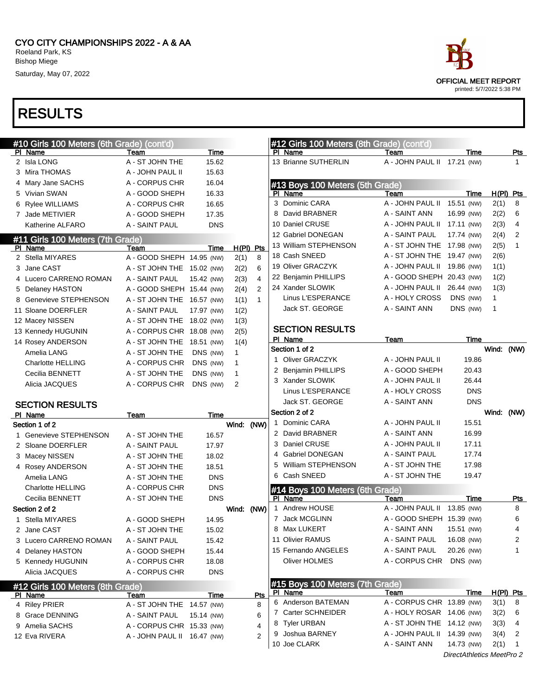| race                                              |
|---------------------------------------------------|
| OFFICIAL MEET REPORT<br>printed: 5/7/2022 5:38 PM |

| #10 Girls 100 Meters (6th Grade) (cont'd)          |                             |            |              |                | #12 Girls 100 Meters (8th Grade) (cont'd)  |                             |                                         |                  |              |
|----------------------------------------------------|-----------------------------|------------|--------------|----------------|--------------------------------------------|-----------------------------|-----------------------------------------|------------------|--------------|
| PI Name                                            | Team                        | Time       |              |                | PI Name                                    | Team                        | Time                                    |                  | <u>Pts</u>   |
| 2 Isla LONG                                        | A - ST JOHN THE             | 15.62      |              |                | 13 Brianne SUTHERLIN                       | A - JOHN PAUL II 17.21 (NW) |                                         |                  | 1            |
| 3 Mira THOMAS                                      | A - JOHN PAUL II            | 15.63      |              |                |                                            |                             |                                         |                  |              |
| 4 Mary Jane SACHS                                  | A - CORPUS CHR              | 16.04      |              |                | #13 Boys 100 Meters (5th Grade)            |                             |                                         |                  |              |
| 5 Vivian SWAN                                      | A - GOOD SHEPH              | 16.33      |              |                | PI Name                                    | Team                        | Time                                    | $H(PI)$ Pts      |              |
| 6 Rylee WILLIAMS                                   | A - CORPUS CHR              | 16.65      |              |                | 3 Dominic CARA                             | A - JOHN PAUL II            | 15.51 (NW)                              | 2(1)             | 8            |
| 7 Jade METIVIER                                    | A - GOOD SHEPH              | 17.35      |              |                | 8 David BRABNER                            | A - SAINT ANN               | 16.99 (NW)                              | 2(2)             | 6            |
| Katherine ALFARO                                   | A - SAINT PAUL              | <b>DNS</b> |              |                | 10 Daniel CRUSE                            | A - JOHN PAUL II            | 17.11 (NW)                              | 2(3)             | 4            |
| #11 Girls 100 Meters (7th Grade)                   |                             |            |              |                | 12 Gabriel DONEGAN                         | A - SAINT PAUL              | 17.74 (NW)                              | 2(4)             | 2            |
| PI Name                                            | Team                        | Time       | $H(PI)$ Pts  |                | 13 William STEPHENSON                      | A - ST JOHN THE             | 17.98 (NW)                              | 2(5)             | $\mathbf{1}$ |
| 2 Stella MIYARES                                   | A - GOOD SHEPH 14.95 (NW)   |            | 2(1)         | 8              | 18 Cash SNEED                              | A - ST JOHN THE             | 19.47 (NW)                              | 2(6)             |              |
| 3 Jane CAST                                        | A - ST JOHN THE 15.02 (NW)  |            | 2(2)         | 6              | 19 Oliver GRACZYK                          | A - JOHN PAUL II            | 19.86 (NW)                              | 1(1)             |              |
| 4 Lucero CARRENO ROMAN                             | A - SAINT PAUL              | 15.42 (NW) | 2(3)         | 4              | 22 Benjamin PHILLIPS                       | A - GOOD SHEPH 20.43 (NW)   |                                         | 1(2)             |              |
| 5 Delaney HASTON                                   | A - GOOD SHEPH 15.44 (NW)   |            | 2(4)         | $\overline{2}$ | 24 Xander SLOWIK                           | A - JOHN PAUL II            | 26.44 (NW)                              | 1(3)             |              |
| 8 Genevieve STEPHENSON                             | A - ST JOHN THE 16.57 (NW)  |            | 1(1)         | $\mathbf 1$    | Linus L'ESPERANCE                          | A - HOLY CROSS              | DNS (NW)                                | 1                |              |
| 11 Sloane DOERFLER                                 | A - SAINT PAUL              | 17.97 (NW) | 1(2)         |                | Jack ST. GEORGE                            | A - SAINT ANN               | DNS (NW)                                | $\mathbf{1}$     |              |
| 12 Macey NISSEN                                    | A - ST JOHN THE 18.02 (NW)  |            | 1(3)         |                |                                            |                             |                                         |                  |              |
| 13 Kennedy HUGUNIN                                 | A - CORPUS CHR 18.08 (NW)   |            | 2(5)         |                | <b>SECTION RESULTS</b>                     |                             |                                         |                  |              |
| 14 Rosey ANDERSON                                  | A - ST JOHN THE 18.51 (NW)  |            | 1(4)         |                | PI Name                                    | Team                        | Time                                    |                  |              |
| Amelia LANG                                        | A - ST JOHN THE             | DNS (NW)   | 1            |                | Section 1 of 2                             |                             |                                         | Wind: (NW)       |              |
| <b>Charlotte HELLING</b>                           | A - CORPUS CHR              | DNS (NW)   | $\mathbf{1}$ |                | 1 Oliver GRACZYK                           | A - JOHN PAUL II            | 19.86                                   |                  |              |
| Cecilia BENNETT                                    | A - ST JOHN THE             | DNS (NW)   | $\mathbf{1}$ |                | 2 Benjamin PHILLIPS                        | A - GOOD SHEPH              | 20.43                                   |                  |              |
| Alicia JACQUES                                     | A - CORPUS CHR              | DNS (NW)   | 2            |                | 3 Xander SLOWIK                            | A - JOHN PAUL II            | 26.44                                   |                  |              |
|                                                    |                             |            |              |                | Linus L'ESPERANCE                          | A - HOLY CROSS              | <b>DNS</b>                              |                  |              |
|                                                    |                             |            |              |                |                                            |                             |                                         |                  |              |
| <b>SECTION RESULTS</b>                             |                             |            |              |                | Jack ST. GEORGE                            | A - SAINT ANN               | <b>DNS</b>                              |                  |              |
| PI Name                                            | <b>Team</b>                 | Time       |              |                | Section 2 of 2                             |                             |                                         | Wind: (NW)       |              |
| Section 1 of 2                                     |                             |            | Wind: (NW)   |                | 1 Dominic CARA                             | A - JOHN PAUL II            | 15.51                                   |                  |              |
| 1 Genevieve STEPHENSON                             | A - ST JOHN THE             | 16.57      |              |                | 2 David BRABNER                            | A - SAINT ANN               | 16.99                                   |                  |              |
| 2 Sloane DOERFLER                                  | A - SAINT PAUL              | 17.97      |              |                | 3 Daniel CRUSE                             | A - JOHN PAUL II            | 17.11                                   |                  |              |
| 3 Macey NISSEN                                     | A - ST JOHN THE             | 18.02      |              |                | 4 Gabriel DONEGAN                          | A - SAINT PAUL              | 17.74                                   |                  |              |
| 4 Rosey ANDERSON                                   | A - ST JOHN THE             | 18.51      |              |                | 5 William STEPHENSON                       | A - ST JOHN THE             | 17.98                                   |                  |              |
| Amelia LANG                                        | A - ST JOHN THE             | <b>DNS</b> |              |                | 6 Cash SNEED                               | A - ST JOHN THE             | 19.47                                   |                  |              |
| <b>Charlotte HELLING</b>                           | A - CORPUS CHR              | <b>DNS</b> |              |                |                                            |                             |                                         |                  |              |
| Cecilia BENNETT                                    | A - ST JOHN THE             | <b>DNS</b> |              |                | #14 Boys 100 Meters (6th Grade)<br>PI Name | Team                        | Time                                    |                  | Pts          |
| Section 2 of 2                                     |                             |            | Wind: (NW)   |                | 1 Andrew HOUSE                             | A - JOHN PAUL II 13.85 (NW) |                                         |                  | 8            |
| 1 Stella MIYARES                                   | A - GOOD SHEPH              | 14.95      |              |                | 7 Jack MCGLINN                             | A - GOOD SHEPH 15.39 (NW)   |                                         |                  | 6            |
| 2 Jane CAST                                        | A - ST JOHN THE             | 15.02      |              |                | 8 Max LUKERT                               | A - SAINT ANN               | 15.51 (NW)                              |                  | 4            |
| 3 Lucero CARRENO ROMAN                             | A - SAINT PAUL              | 15.42      |              |                | 11 Olivier RAMUS                           | A - SAINT PAUL              | 16.08 (NW)                              |                  | 2            |
| 4 Delaney HASTON                                   | A - GOOD SHEPH              | 15.44      |              |                | 15 Fernando ANGELES                        | A - SAINT PAUL              | 20.26 (NW)                              |                  | 1            |
| 5 Kennedy HUGUNIN                                  | A - CORPUS CHR              | 18.08      |              |                | Oliver HOLMES                              | A - CORPUS CHR DNS (NW)     |                                         |                  |              |
| Alicia JACQUES                                     | A - CORPUS CHR              | <b>DNS</b> |              |                |                                            |                             |                                         |                  |              |
|                                                    |                             |            |              |                | #15 Boys 100 Meters (7th Grade)            |                             |                                         |                  |              |
| #12 Girls 100 Meters (8th Grade)<br><u>PI Name</u> | Team                        | Time       |              | Pts            | PI Name                                    | Team                        | Time                                    | <u>H(PI) Pts</u> |              |
| 4 Riley PRIER                                      | A - ST JOHN THE 14.57 (NW)  |            |              | 8              | 6 Anderson BATEMAN                         | A - CORPUS CHR 13.89 (NW)   |                                         | 3(1)             | 8            |
| 8 Grace DENNING                                    | A - SAINT PAUL              | 15.14 (NW) |              | 6              | 7 Carter SCHNEIDER                         | A - HOLY ROSAR 14.06 (NW)   |                                         | 3(2)             | 6            |
| 9 Amelia SACHS                                     | A - CORPUS CHR 15.33 (NW)   |            |              | 4              | 8 Tyler URBAN                              | A - ST JOHN THE 14.12 (NW)  |                                         | 3(3)             | 4            |
| 12 Eva RIVERA                                      | A - JOHN PAUL II 16.47 (NW) |            |              | $\overline{2}$ | 9 Joshua BARNEY                            | A - JOHN PAUL II 14.39 (NW) |                                         | 3(4)             | 2            |
|                                                    |                             |            |              |                | 10 Joe CLARK                               | A - SAINT ANN               | 14.73 (NW)<br>DirectAthletics MeetPro 2 | 2(1)             | 1            |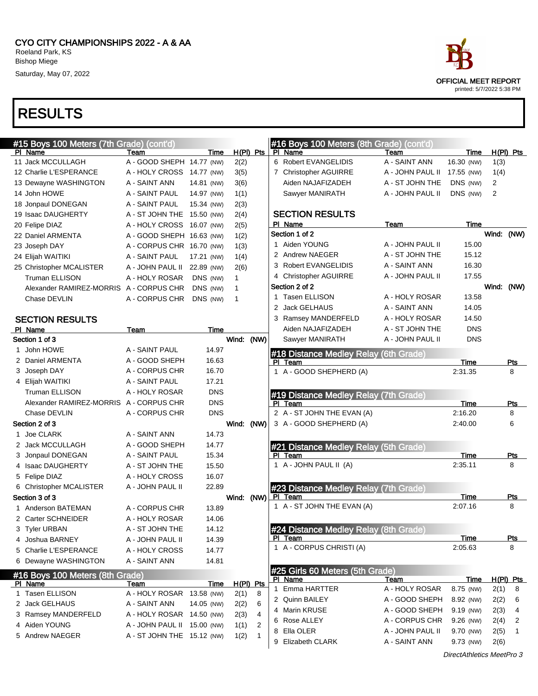CYO CITY CHAMPIONSHIPS 2022 - A & AA Roeland Park, KS Bishop Miege Saturday, May 07, 2022



| #15 Boys 100 Meters (7th Grade) (cont'd)   |                             |             |                  |              | #16 Boys 100 Meters (8th Grade) (cont'd) |                  |             |            |             |
|--------------------------------------------|-----------------------------|-------------|------------------|--------------|------------------------------------------|------------------|-------------|------------|-------------|
| PI Name                                    | Team                        | Time        | $H(PI)$ Pts      |              | PI Name                                  | Team             | Time        |            | $H(PI)$ Pts |
| 11 Jack MCCULLAGH                          | A - GOOD SHEPH 14.77 (NW)   |             | 2(2)             |              | 6 Robert EVANGELIDIS                     | A - SAINT ANN    | 16.30 (NW)  | 1(3)       |             |
| 12 Charlie L'ESPERANCE                     | A - HOLY CROSS 14.77 (NW)   |             | 3(5)             |              | 7 Christopher AGUIRRE                    | A - JOHN PAUL II | 17.55 (NW)  | 1(4)       |             |
| 13 Dewayne WASHINGTON                      | A - SAINT ANN               | 14.81 (NW)  | 3(6)             |              | Aiden NAJAFIZADEH                        | A - ST JOHN THE  | DNS (NW)    | 2          |             |
| 14 John HOWE                               | A - SAINT PAUL              | 14.97 (NW)  | 1(1)             |              | Sawyer MANIRATH                          | A - JOHN PAUL II | DNS (NW)    | 2          |             |
| 18 Jonpaul DONEGAN                         | A - SAINT PAUL              | 15.34 (NW)  | 2(3)             |              |                                          |                  |             |            |             |
| 19 Isaac DAUGHERTY                         | A - ST JOHN THE 15.50 (NW)  |             | 2(4)             |              | <b>SECTION RESULTS</b>                   |                  |             |            |             |
| 20 Felipe DIAZ                             | A - HOLY CROSS 16.07 (NW)   |             | 2(5)             |              | PI Name                                  | Team             | Time        |            |             |
| 22 Daniel ARMENTA                          | A - GOOD SHEPH 16.63 (NW)   |             | 1(2)             |              | Section 1 of 2                           |                  |             |            | Wind: (NW)  |
| 23 Joseph DAY                              | A - CORPUS CHR 16.70 (NW)   |             | 1(3)             |              | 1 Aiden YOUNG                            | A - JOHN PAUL II | 15.00       |            |             |
| 24 Elijah WAITIKI                          | A - SAINT PAUL              | 17.21 (NW)  | 1(4)             |              | 2 Andrew NAEGER                          | A - ST JOHN THE  | 15.12       |            |             |
| 25 Christopher MCALISTER                   | A - JOHN PAUL II 22.89 (NW) |             | 2(6)             |              | 3 Robert EVANGELIDIS                     | A - SAINT ANN    | 16.30       |            |             |
| <b>Truman ELLISON</b>                      | A - HOLY ROSAR              | DNS (NW)    | $\mathbf{1}$     |              | 4 Christopher AGUIRRE                    | A - JOHN PAUL II | 17.55       |            |             |
| Alexander RAMIREZ-MORRIS A - CORPUS CHR    |                             | DNS (NW)    | $\mathbf{1}$     |              | Section 2 of 2                           |                  |             | Wind: (NW) |             |
| Chase DEVLIN                               | A - CORPUS CHR              | DNS (NW)    | $\mathbf 1$      |              | 1 Tasen ELLISON                          | A - HOLY ROSAR   | 13.58       |            |             |
|                                            |                             |             |                  |              | 2 Jack GELHAUS                           | A - SAINT ANN    | 14.05       |            |             |
| <b>SECTION RESULTS</b>                     |                             |             |                  |              | 3 Ramsey MANDERFELD                      | A - HOLY ROSAR   | 14.50       |            |             |
| PI Name                                    | Team                        | Time        |                  |              | Aiden NAJAFIZADEH                        | A - ST JOHN THE  | <b>DNS</b>  |            |             |
| Section 1 of 3                             |                             |             | Wind: (NW)       |              | Sawyer MANIRATH                          | A - JOHN PAUL II | <b>DNS</b>  |            |             |
| 1 John HOWE                                | A - SAINT PAUL              | 14.97       |                  |              | #18 Distance Medley Relay (6th Grade)    |                  |             |            |             |
| 2 Daniel ARMENTA                           | A - GOOD SHEPH              | 16.63       |                  |              | PI Team                                  |                  | Time        |            | Pts         |
| 3 Joseph DAY                               | A - CORPUS CHR              | 16.70       |                  |              | 1 A - GOOD SHEPHERD (A)                  |                  | 2:31.35     |            | 8           |
| 4 Elijah WAITIKI                           | A - SAINT PAUL              | 17.21       |                  |              |                                          |                  |             |            |             |
| <b>Truman ELLISON</b>                      | A - HOLY ROSAR              | <b>DNS</b>  |                  |              | #19 Distance Medley Relay (7th Grade)    |                  |             |            |             |
| Alexander RAMIREZ-MORRIS A - CORPUS CHR    |                             | <b>DNS</b>  |                  |              | PI Team                                  |                  | Time        |            | <u>Pts</u>  |
| Chase DEVLIN                               | A - CORPUS CHR              | <b>DNS</b>  |                  |              | 2 A - ST JOHN THE EVAN (A)               |                  | 2:16.20     |            | 8           |
| Section 2 of 3                             |                             |             | Wind: (NW)       |              | 3 A - GOOD SHEPHERD (A)                  |                  | 2:40.00     |            | 6           |
| 1 Joe CLARK                                | A - SAINT ANN               | 14.73       |                  |              |                                          |                  |             |            |             |
| 2 Jack MCCULLAGH                           | A - GOOD SHEPH              | 14.77       |                  |              | #21 Distance Medley Relay (5th Grade)    |                  |             |            |             |
| 3 Jonpaul DONEGAN                          | A - SAINT PAUL              | 15.34       |                  |              | PI Team                                  |                  | Time        |            | <u>Pts</u>  |
| 4 Isaac DAUGHERTY                          | A - ST JOHN THE             | 15.50       |                  |              | 1 A - JOHN PAUL II (A)                   |                  | 2:35.11     |            | 8           |
| 5 Felipe DIAZ                              | A - HOLY CROSS              | 16.07       |                  |              |                                          |                  |             |            |             |
| 6 Christopher MCALISTER                    | A - JOHN PAUL II            | 22.89       |                  |              | #23 Distance Medley Relay (7th Grade)    |                  |             |            |             |
| Section 3 of 3                             |                             |             | Wind: (NW)       |              | PI Team                                  |                  | Time        |            | <b>Pts</b>  |
| 1 Anderson BATEMAN                         | A - CORPUS CHR              | 13.89       |                  |              | 1 A - ST JOHN THE EVAN (A)               |                  | 2:07.16     |            | 8           |
| 2 Carter SCHNEIDER                         | A - HOLY ROSAR              | 14.06       |                  |              |                                          |                  |             |            |             |
| 3 Tyler URBAN                              | A - ST JOHN THE             | 14.12       |                  |              | #24 Distance Medley Relay (8th Grade)    |                  |             |            |             |
| 4 Joshua BARNEY                            | A - JOHN PAUL II            | 14.39       |                  |              | PI Team                                  |                  | <b>Time</b> |            | <u>Pts</u>  |
| 5 Charlie L'ESPERANCE                      | A - HOLY CROSS              | 14.77       |                  |              | 1 A - CORPUS CHRISTI (A)                 |                  | 2:05.63     |            | 8           |
| 6 Dewayne WASHINGTON                       | A - SAINT ANN               | 14.81       |                  |              |                                          |                  |             |            |             |
|                                            |                             |             |                  |              | #25 Girls 60 Meters (5th Grade)          |                  |             |            |             |
| #16 Boys 100 Meters (8th Grade)<br>PI Name | Team                        | <u>Time</u> | <u>H(PI) Pts</u> |              | PI Name                                  | Team             | <b>Time</b> |            | H(PI) Pts   |
| 1 Tasen ELLISON                            | A - HOLY ROSAR 13.58 (NW)   |             | 2(1)             | 8            | 1 Emma HARTTER                           | A - HOLY ROSAR   | 8.75 (NW)   | 2(1)       | 8           |
| 2 Jack GELHAUS                             | A - SAINT ANN               | 14.05 (NW)  | 2(2)             | 6            | 2 Quinn BAILEY                           | A - GOOD SHEPH   | 8.92 (NW)   | 2(2)       | 6           |
| 3 Ramsey MANDERFELD                        | A - HOLY ROSAR 14.50 (NW)   |             | 2(3)             | 4            | 4 Marin KRUSE                            | A - GOOD SHEPH   | 9.19 (NW)   | 2(3)       | 4           |
| 4 Aiden YOUNG                              | A - JOHN PAUL II 15.00 (NW) |             | 1(1)             | 2            | 6 Rose ALLEY                             | A - CORPUS CHR   | 9.26 (NW)   | 2(4)       | 2           |
| 5 Andrew NAEGER                            | A - ST JOHN THE 15.12 (NW)  |             | 1(2)             | $\mathbf{1}$ | 8 Ella OLER                              | A - JOHN PAUL II | 9.70 (NW)   | 2(5)       | -1          |
|                                            |                             |             |                  |              | 9 Elizabeth CLARK                        | A - SAINT ANN    | 9.73 (NW)   | 2(6)       |             |
|                                            |                             |             |                  |              |                                          |                  |             |            |             |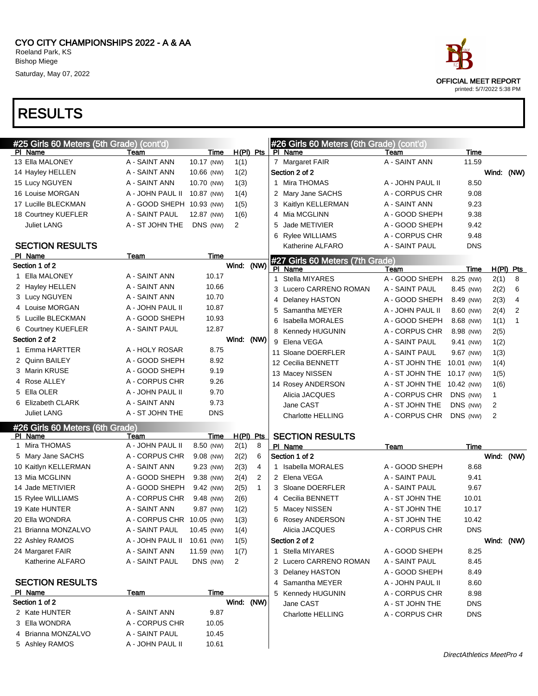

| #25 Girls 60 Meters (5th Grade) (cont'd) |                           |                |                |              | #26 Girls 60 Meters (6th Grade) (cont'd) |                            |             |      |             |
|------------------------------------------|---------------------------|----------------|----------------|--------------|------------------------------------------|----------------------------|-------------|------|-------------|
| PI Name                                  | Team                      | Time           |                | $H(PI)$ Pts  | PI Name                                  | Team                       | <b>Time</b> |      |             |
| 13 Ella MALONEY                          | A - SAINT ANN             | 10.17 (NW)     | 1(1)           |              | 7 Margaret FAIR                          | A - SAINT ANN              | 11.59       |      |             |
| 14 Hayley HELLEN                         | A - SAINT ANN             | 10.66 (NW)     | 1(2)           |              | Section 2 of 2                           |                            |             |      | Wind: (NW)  |
| 15 Lucy NGUYEN                           | A - SAINT ANN             | 10.70 (NW)     | 1(3)           |              | 1 Mira THOMAS                            | A - JOHN PAUL II           | 8.50        |      |             |
| 16 Louise MORGAN                         | A - JOHN PAUL II          | 10.87 (NW)     | 1(4)           |              | 2 Mary Jane SACHS                        | A - CORPUS CHR             | 9.08        |      |             |
| 17 Lucille BLECKMAN                      | A - GOOD SHEPH 10.93 (NW) |                | 1(5)           |              | 3 Kaitlyn KELLERMAN                      | A - SAINT ANN              | 9.23        |      |             |
| 18 Courtney KUEFLER                      | A - SAINT PAUL            | 12.87 (NW)     | 1(6)           |              | 4 Mia MCGLINN                            | A - GOOD SHEPH             | 9.38        |      |             |
| Juliet LANG                              | A - ST JOHN THE           | DNS (NW)       | $\overline{2}$ |              | 5 Jade METIVIER                          | A - GOOD SHEPH             | 9.42        |      |             |
|                                          |                           |                |                |              | 6 Rylee WILLIAMS                         | A - CORPUS CHR             | 9.48        |      |             |
| <b>SECTION RESULTS</b>                   |                           |                |                |              | Katherine ALFARO                         | A - SAINT PAUL             | <b>DNS</b>  |      |             |
| PI Name                                  | Team                      | <b>Time</b>    |                |              | #27 Girls 60 Meters (7th Grade)          |                            |             |      |             |
| Section 1 of 2                           |                           |                | Wind: (NW)     |              | PI Name                                  | Team                       | Time        |      | $H(PI)$ Pts |
| 1 Ella MALONEY                           | A - SAINT ANN             | 10.17          |                |              | 1 Stella MIYARES                         | A - GOOD SHEPH             | 8.25 (NW)   | 2(1) | 8           |
| 2 Hayley HELLEN                          | A - SAINT ANN             | 10.66          |                |              | 3 Lucero CARRENO ROMAN                   | A - SAINT PAUL             | 8.45 (NW)   | 2(2) | 6           |
| 3 Lucy NGUYEN                            | A - SAINT ANN             | 10.70          |                |              | 4 Delaney HASTON                         | A - GOOD SHEPH             | 8.49 (NW)   | 2(3) | 4           |
| 4 Louise MORGAN                          | A - JOHN PAUL II          | 10.87          |                |              | 5 Samantha MEYER                         | A - JOHN PAUL II           | 8.60 (NW)   | 2(4) | 2           |
| 5 Lucille BLECKMAN                       | A - GOOD SHEPH            | 10.93          |                |              | 6 Isabella MORALES                       | A - GOOD SHEPH             | 8.68 (NW)   | 1(1) | 1           |
| 6 Courtney KUEFLER                       | A - SAINT PAUL            | 12.87          |                |              | 8 Kennedy HUGUNIN                        | A - CORPUS CHR             | 8.98 (NW)   | 2(5) |             |
| Section 2 of 2                           |                           |                | Wind: (NW)     |              | 9 Elena VEGA                             | A - SAINT PAUL             | 9.41 (NW)   | 1(2) |             |
| 1 Emma HARTTER                           | A - HOLY ROSAR            | 8.75           |                |              | 11 Sloane DOERFLER                       | A - SAINT PAUL             | 9.67 (NW)   | 1(3) |             |
| 2 Quinn BAILEY                           | A - GOOD SHEPH            | 8.92           |                |              | 12 Cecilia BENNETT                       | A - ST JOHN THE            | 10.01 (NW)  | 1(4) |             |
| 3 Marin KRUSE                            | A - GOOD SHEPH            | 9.19           |                |              | 13 Macey NISSEN                          | A - ST JOHN THE 10.17 (NW) |             | 1(5) |             |
| 4 Rose ALLEY                             | A - CORPUS CHR            | 9.26           |                |              | 14 Rosey ANDERSON                        | A - ST JOHN THE 10.42 (NW) |             | 1(6) |             |
| 5 Ella OLER                              | A - JOHN PAUL II          | 9.70           |                |              | Alicia JACQUES                           | A - CORPUS CHR             | DNS (NW)    | 1    |             |
| 6 Elizabeth CLARK                        | A - SAINT ANN             | 9.73           |                |              | Jane CAST                                | A - ST JOHN THE            | DNS (NW)    | 2    |             |
| <b>Juliet LANG</b>                       | A - ST JOHN THE           | DNS            |                |              | <b>Charlotte HELLING</b>                 | A - CORPUS CHR             | DNS (NW)    | 2    |             |
| #26 Girls 60 Meters (6th Grade)          |                           |                |                |              |                                          |                            |             |      |             |
| PI Name                                  | Team                      | Time           |                | $H(PI)$ Pts  | <b>SECTION RESULTS</b>                   |                            |             |      |             |
| 1 Mira THOMAS                            | A - JOHN PAUL II          | 8.50 (NW)      | 2(1)           | 8            | PI Name                                  | Team                       | Time        |      |             |
| 5 Mary Jane SACHS                        | A - CORPUS CHR            | 9.08 (NW)      | 2(2)           | 6            | Section 1 of 2                           |                            |             |      | Wind: (NW)  |
| 10 Kaitlyn KELLERMAN                     | A - SAINT ANN             | 9.23 (NW)      | 2(3)           | 4            | 1 Isabella MORALES                       | A - GOOD SHEPH             | 8.68        |      |             |
| 13 Mia MCGLINN                           | A - GOOD SHEPH            | 9.38 (NW)      | 2(4)           | 2            | 2 Elena VEGA                             | A - SAINT PAUL             | 9.41        |      |             |
| 14 Jade METIVIER                         | A - GOOD SHEPH            | 9.42 (NW)      | 2(5)           | $\mathbf{1}$ | 3 Sloane DOERFLER                        | A - SAINT PAUL             | 9.67        |      |             |
| 15 Rylee WILLIAMS                        | A - CORPUS CHR            | 9.48 (NW)      | 2(6)           |              | 4 Cecilia BENNETT                        | A - ST JOHN THE            | 10.01       |      |             |
| 19 Kate HUNTER                           | A - SAINT ANN             | 9.87 (NW)      | 1(2)           |              | 5 Macey NISSEN                           | A - ST JOHN THE            | 10.17       |      |             |
| 20 Ella WONDRA                           | A - CORPUS CHR 10.05 (NW) |                | 1(3)           |              | 6 Rosey ANDERSON                         | A - ST JOHN THE            | 10.42       |      |             |
| 21 Brianna MONZALVO                      | A - SAINT PAUL            | 10.45 (NW)     | 1(4)           |              | Alicia JACQUES                           | A - CORPUS CHR             | <b>DNS</b>  |      |             |
| 22 Ashley RAMOS                          | A - JOHN PAUL II          | 10.61 (NW)     | 1(5)           |              | Section 2 of 2                           |                            |             |      | Wind: (NW)  |
| 24 Margaret FAIR                         | A - SAINT ANN             | 11.59 (NW)     | 1(7)           |              | 1 Stella MIYARES                         | A - GOOD SHEPH             | 8.25        |      |             |
| Katherine ALFARO                         | A - SAINT PAUL            | DNS (NW)       | 2              |              | 2 Lucero CARRENO ROMAN                   | A - SAINT PAUL             | 8.45        |      |             |
|                                          |                           |                |                |              | 3 Delaney HASTON                         | A - GOOD SHEPH             | 8.49        |      |             |
| <b>SECTION RESULTS</b>                   |                           |                |                |              | 4 Samantha MEYER                         | A - JOHN PAUL II           | 8.60        |      |             |
| PI Name<br>Section 1 of 2                | <b>Team</b>               | Time           | Wind: (NW)     |              | 5 Kennedy HUGUNIN                        | A - CORPUS CHR             | 8.98        |      |             |
| 2 Kate HUNTER                            | A - SAINT ANN             |                |                |              | Jane CAST                                | A - ST JOHN THE            | <b>DNS</b>  |      |             |
| 3 Ella WONDRA                            | A - CORPUS CHR            | 9.87           |                |              | <b>Charlotte HELLING</b>                 | A - CORPUS CHR             | <b>DNS</b>  |      |             |
| 4 Brianna MONZALVO                       | A - SAINT PAUL            | 10.05          |                |              |                                          |                            |             |      |             |
|                                          | A - JOHN PAUL II          | 10.45<br>10.61 |                |              |                                          |                            |             |      |             |
| 5 Ashley RAMOS                           |                           |                |                |              |                                          |                            |             |      |             |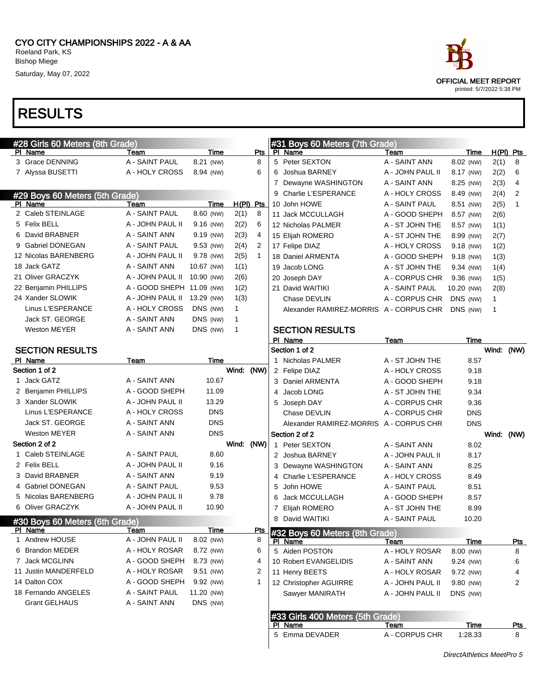| #28 Girls 60 Meters (8th Grade) |                             |             | #31 Boys 60 Meters (7th Grade) |              |   |                                         |                  |             |              |                |
|---------------------------------|-----------------------------|-------------|--------------------------------|--------------|---|-----------------------------------------|------------------|-------------|--------------|----------------|
| PI Name                         | Team                        | Time        |                                | Pts          |   | PI Name                                 | Team             | Time        |              | H(PI) Pts      |
| 3 Grace DENNING                 | A - SAINT PAUL              | 8.21 (NW)   |                                | 8            |   | 5 Peter SEXTON                          | A - SAINT ANN    | 8.02 (NW)   | 2(1)         | 8              |
| 7 Alyssa BUSETTI                | A - HOLY CROSS              | 8.94 (NW)   |                                | 6            |   | 6 Joshua BARNEY                         | A - JOHN PAUL II | 8.17 (NW)   | 2(2)         | 6              |
|                                 |                             |             |                                |              |   | 7 Dewayne WASHINGTON                    | A - SAINT ANN    | 8.25 (NW)   | 2(3)         | 4              |
| #29 Boys 60 Meters (5th Grade)  |                             |             |                                |              |   | 9 Charlie L'ESPERANCE                   | A - HOLY CROSS   | 8.49 (NW)   | 2(4)         | $\overline{2}$ |
| PI Name                         | Team                        | Time        |                                | $H(PI)$ Pts  |   | 10 John HOWE                            | A - SAINT PAUL   | 8.51 (NW)   | 2(5)         | $\mathbf{1}$   |
| 2 Caleb STEINLAGE               | A - SAINT PAUL              | 8.60 (NW)   | 2(1)                           | 8            |   | 11 Jack MCCULLAGH                       | A - GOOD SHEPH   | 8.57 (NW)   | 2(6)         |                |
| 5 Felix BELL                    | A - JOHN PAUL II            | 9.16 (NW)   | 2(2)                           | 6            |   | 12 Nicholas PALMER                      | A - ST JOHN THE  | 8.57 (NW)   | 1(1)         |                |
| 6 David BRABNER                 | A - SAINT ANN               | 9.19 (NW)   | 2(3)                           | 4            |   | 15 Elijah ROMERO                        | A - ST JOHN THE  | 8.99 (NW)   | 2(7)         |                |
| 9 Gabriel DONEGAN               | A - SAINT PAUL              | 9.53 (NW)   | 2(4)                           | 2            |   | 17 Felipe DIAZ                          | A - HOLY CROSS   | 9.18 (NW)   | 1(2)         |                |
| 12 Nicolas BARENBERG            | A - JOHN PAUL II            | 9.78 (NW)   | 2(5)                           | $\mathbf{1}$ |   | 18 Daniel ARMENTA                       | A - GOOD SHEPH   | 9.18 (NW)   | 1(3)         |                |
| 18 Jack GATZ                    | A - SAINT ANN               | 10.67 (NW)  | 1(1)                           |              |   | 19 Jacob LONG                           | A - ST JOHN THE  | 9.34 (NW)   | 1(4)         |                |
| 21 Oliver GRACZYK               | A - JOHN PAUL II            | 10.90 (NW)  | 2(6)                           |              |   | 20 Joseph DAY                           | A - CORPUS CHR   | 9.36 (NW)   | 1(5)         |                |
| 22 Benjamin PHILLIPS            | A - GOOD SHEPH 11.09 (NW)   |             | 1(2)                           |              |   | 21 David WAITIKI                        | A - SAINT PAUL   | 10.20 (NW)  | 2(8)         |                |
| 24 Xander SLOWIK                | A - JOHN PAUL II 13.29 (NW) |             | 1(3)                           |              |   | Chase DEVLIN                            | A - CORPUS CHR   | DNS (NW)    | $\mathbf{1}$ |                |
| Linus L'ESPERANCE               | A - HOLY CROSS              | DNS (NW)    | 1                              |              |   | Alexander RAMIREZ-MORRIS A - CORPUS CHR |                  | DNS (NW)    | 1            |                |
| Jack ST. GEORGE                 | A - SAINT ANN               | DNS (NW)    | $\mathbf{1}$                   |              |   |                                         |                  |             |              |                |
| <b>Weston MEYER</b>             | A - SAINT ANN               | DNS (NW)    | $\mathbf{1}$                   |              |   | <b>SECTION RESULTS</b>                  |                  |             |              |                |
|                                 |                             |             |                                |              |   | PI Name                                 | Team             | Time        |              |                |
| <b>SECTION RESULTS</b>          |                             |             |                                |              |   | Section 1 of 2                          |                  |             |              | Wind: (NW)     |
| PI Name                         | Team                        | Time        |                                |              |   | 1 Nicholas PALMER                       | A - ST JOHN THE  | 8.57        |              |                |
| Section 1 of 2                  |                             |             | Wind: (NW)                     |              |   | 2 Felipe DIAZ                           | A - HOLY CROSS   | 9.18        |              |                |
| 1 Jack GATZ                     | A - SAINT ANN               | 10.67       |                                |              |   | 3 Daniel ARMENTA                        | A - GOOD SHEPH   | 9.18        |              |                |
| 2 Benjamin PHILLIPS             | A - GOOD SHEPH              | 11.09       |                                |              | 4 | Jacob LONG                              | A - ST JOHN THE  | 9.34        |              |                |
| 3 Xander SLOWIK                 | A - JOHN PAUL II            | 13.29       |                                |              | 5 | Joseph DAY                              | A - CORPUS CHR   | 9.36        |              |                |
| Linus L'ESPERANCE               | A - HOLY CROSS              | <b>DNS</b>  |                                |              |   | Chase DEVLIN                            | A - CORPUS CHR   | <b>DNS</b>  |              |                |
| Jack ST. GEORGE                 | A - SAINT ANN               | <b>DNS</b>  |                                |              |   | Alexander RAMIREZ-MORRIS A - CORPUS CHR |                  | <b>DNS</b>  |              |                |
| <b>Weston MEYER</b>             | A - SAINT ANN               | <b>DNS</b>  |                                |              |   | Section 2 of 2                          |                  |             |              | Wind: (NW)     |
| Section 2 of 2                  |                             |             | Wind: (NW)                     |              |   | 1 Peter SEXTON                          | A - SAINT ANN    | 8.02        |              |                |
| 1 Caleb STEINLAGE               | A - SAINT PAUL              | 8.60        |                                |              |   | 2 Joshua BARNEY                         | A - JOHN PAUL II | 8.17        |              |                |
| 2 Felix BELL                    | A - JOHN PAUL II            | 9.16        |                                |              |   | 3 Dewayne WASHINGTON                    | A - SAINT ANN    | 8.25        |              |                |
| 3 David BRABNER                 | A - SAINT ANN               | 9.19        |                                |              |   | 4 Charlie L'ESPERANCE                   | A - HOLY CROSS   | 8.49        |              |                |
| 4 Gabriel DONEGAN               | A - SAINT PAUL              | 9.53        |                                |              | 5 | John HOWE                               | A - SAINT PAUL   | 8.51        |              |                |
| 5 Nicolas BARENBERG             | A - JOHN PAUL II            | 9.78        |                                |              | 6 | Jack MCCULLAGH                          | A - GOOD SHEPH   | 8.57        |              |                |
| 6 Oliver GRACZYK                | A - JOHN PAUL II            | 10.90       |                                |              | 7 | Elijah ROMERO                           | A - ST JOHN THE  | 8.99        |              |                |
| #30 Boys 60 Meters (6th Grade)  |                             |             |                                |              |   | 8 David WAITIKI                         | A - SAINT PAUL   | 10.20       |              |                |
| PI Name                         | Team                        | Time        |                                |              |   | Pts #32 Boys 60 Meters (8th Grade)      |                  |             |              |                |
| Andrew HOUSE                    | A - JOHN PAUL II            | 8.02 (NW)   |                                | 8            |   | PI Name                                 | <u>Team</u>      | <b>Time</b> |              | <u>Pts</u>     |
| 6 Brandon MEDER                 | A - HOLY ROSAR              | 8.72 (NW)   |                                | 6            |   | 5 Aiden POSTON                          | A - HOLY ROSAR   | 8.00 (NW)   |              | 8              |
| 7 Jack MCGLINN                  | A - GOOD SHEPH              | 8.73 (NW)   |                                | 4            |   | 10 Robert EVANGELIDIS                   | A - SAINT ANN    | 9.24 (NW)   |              | 6              |
| 11 Justin MANDERFELD            | A - HOLY ROSAR              | $9.51$ (NW) |                                | 2            |   | 11 Henry BEETS                          | A - HOLY ROSAR   | 9.72 (NW)   |              | 4              |
| 14 Dalton COX                   | A - GOOD SHEPH              | 9.92 (NW)   |                                | $\mathbf{1}$ |   | 12 Christopher AGUIRRE                  | A - JOHN PAUL II | 9.80 (NW)   |              | 2              |
| 18 Fernando ANGELES             | A - SAINT PAUL              | 11.20 (NW)  |                                |              |   | Sawyer MANIRATH                         | A - JOHN PAUL II | DNS (NW)    |              |                |
| <b>Grant GELHAUS</b>            | A - SAINT ANN               | DNS (NW)    |                                |              |   |                                         |                  |             |              |                |
|                                 |                             |             |                                |              |   | #33 Girls 400 Meters (5th Grade)        |                  |             |              |                |
|                                 |                             |             |                                |              |   | PI Name                                 | Team             | Time        |              | <u>Pts</u>     |
|                                 |                             |             |                                |              |   | 5 Emma DEVADER                          | A - CORPUS CHR   | 1:28.33     |              | 8              |

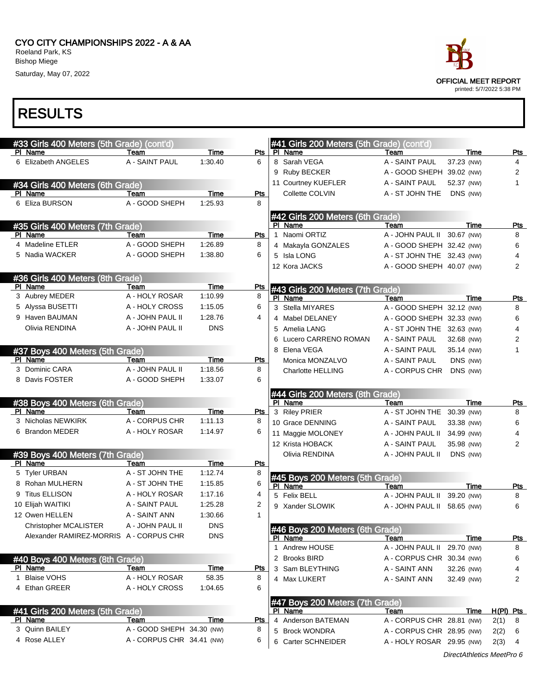#### CYO CITY CHAMPIONSHIPS 2022 - A & AA Roeland Park, KS Bishop Miege

Saturday, May 07, 2022



|   | #33 Girls 400 Meters (5th Grade) (cont'd) |                                                        |             |            | #41 Girls 200 Meters (5th Grade) (cont'd)  |                                                        |            |                        |
|---|-------------------------------------------|--------------------------------------------------------|-------------|------------|--------------------------------------------|--------------------------------------------------------|------------|------------------------|
|   | PI Name                                   | Team                                                   | Time        | Pts        | PI Name                                    | Team                                                   | Time       | Pts                    |
|   | 6 Elizabeth ANGELES                       | A - SAINT PAUL                                         | 1:30.40     | 6          | 8 Sarah VEGA                               | A - SAINT PAUL                                         | 37.23 (NW) | 4                      |
|   |                                           |                                                        |             |            | 9 Ruby BECKER                              | A - GOOD SHEPH 39.02 (NW)                              |            | 2                      |
|   | #34 Girls 400 Meters (6th Grade)          |                                                        |             |            | 11 Courtney KUEFLER                        | A - SAINT PAUL                                         | 52.37 (NW) | $\mathbf{1}$           |
|   | PI Name                                   | Team                                                   | <b>Time</b> | <b>Pts</b> | Collette COLVIN                            | A - ST JOHN THE                                        | DNS (NW)   |                        |
|   | 6 Eliza BURSON                            | A - GOOD SHEPH                                         | 1:25.93     | 8          |                                            |                                                        |            |                        |
|   |                                           |                                                        |             |            | #42 Girls 200 Meters (6th Grade)           |                                                        |            |                        |
|   | #35 Girls 400 Meters (7th Grade)          |                                                        |             |            | PI Name                                    | Team                                                   | Time       | <b>Pts</b>             |
|   | PI Name                                   | Team                                                   | Time        | Pts        | Naomi ORTIZ<br>$\mathbf{1}$                | A - JOHN PAUL II 30.67 (NW)                            |            | 8                      |
|   | 4 Madeline ETLER                          | A - GOOD SHEPH                                         | 1:26.89     | 8          | 4 Makayla GONZALES                         | A - GOOD SHEPH 32.42 (NW)                              |            | 6                      |
|   | 5 Nadia WACKER                            | A - GOOD SHEPH                                         | 1:38.80     | 6          | 5 Isla LONG                                | A - ST JOHN THE 32.43 (NW)                             |            | 4                      |
|   |                                           |                                                        |             |            | 12 Kora JACKS                              | A - GOOD SHEPH 40.07 (NW)                              |            | $\overline{2}$         |
|   | #36 Girls 400 Meters (8th Grade)          |                                                        |             |            |                                            |                                                        |            |                        |
|   | PI Name                                   | Team                                                   | Time        | <u>Pts</u> | #43 Girls 200 Meters (7th Grade)           |                                                        |            |                        |
|   | 3 Aubrey MEDER                            | A - HOLY ROSAR                                         | 1:10.99     | 8          | PI Name                                    | Team                                                   | Time       | Pts                    |
|   | 5 Alyssa BUSETTI                          | A - HOLY CROSS                                         | 1:15.05     | 6          | 3 Stella MIYARES                           | A - GOOD SHEPH 32.12 (NW)                              |            | 8                      |
|   | 9 Haven BAUMAN                            | A - JOHN PAUL II                                       | 1:28.76     | 4          | 4 Mabel DELANEY                            | A - GOOD SHEPH 32.33 (NW)                              |            | 6                      |
|   | Olivia RENDINA                            | A - JOHN PAUL II                                       | <b>DNS</b>  |            | 5 Amelia LANG                              | A - ST JOHN THE 32.63 (NW)                             |            | 4                      |
|   |                                           |                                                        |             |            | 6 Lucero CARRENO ROMAN                     | A - SAINT PAUL                                         | 32.68 (NW) | 2                      |
|   | #37 Boys 400 Meters (5th Grade)           |                                                        |             |            | 8 Elena VEGA                               | A - SAINT PAUL                                         | 35.14 (NW) | 1                      |
|   | PI Name                                   | Team                                                   | Time        | <b>Pts</b> | Monica MONZALVO                            | A - SAINT PAUL                                         | DNS (NW)   |                        |
|   | 3 Dominic CARA                            | A - JOHN PAUL II                                       | 1:18.56     | 8          | <b>Charlotte HELLING</b>                   | A - CORPUS CHR                                         | DNS (NW)   |                        |
|   | 8 Davis FOSTER                            | A - GOOD SHEPH                                         | 1:33.07     | 6          |                                            |                                                        |            |                        |
|   |                                           |                                                        |             |            | #44 Girls 200 Meters (8th Grade)           |                                                        |            |                        |
|   |                                           |                                                        |             |            |                                            |                                                        |            |                        |
|   | #38 Boys 400 Meters (6th Grade)           |                                                        |             |            | PI Name                                    | Team                                                   | Time       | Pts                    |
|   | PI Name                                   | Team                                                   | Time        | Pts        | 3 Riley PRIER                              | A - ST JOHN THE                                        | 30.39 (NW) | 8                      |
|   | 3 Nicholas NEWKIRK                        | A - CORPUS CHR                                         | 1:11.13     | 8          | 10 Grace DENNING                           | A - SAINT PAUL                                         | 33.38 (NW) | 6                      |
|   | 6 Brandon MEDER                           | A - HOLY ROSAR                                         | 1:14.97     | 6          | 11 Maggie MOLONEY                          | A - JOHN PAUL II 34.99 (NW)                            |            | 4                      |
|   |                                           |                                                        |             |            | 12 Krista HOBACK                           | A - SAINT PAUL                                         | 35.98 (NW) | 2                      |
|   | #39 Boys 400 Meters (7th Grade)           |                                                        |             |            | Olivia RENDINA                             | A - JOHN PAUL II                                       | DNS (NW)   |                        |
|   | PI Name                                   | Team                                                   | Time        | <u>Pts</u> |                                            |                                                        |            |                        |
|   | 5 Tyler URBAN                             | A - ST JOHN THE                                        | 1:12.74     | 8          | #45 Boys 200 Meters (5th Grade)            |                                                        |            |                        |
|   | 8 Rohan MULHERN                           | A - ST JOHN THE                                        | 1:15.85     | 6          | PI Name                                    | Team                                                   | Time       | <b>Pts</b>             |
| 9 | <b>Titus ELLISON</b>                      | A - HOLY ROSAR                                         | 1:17.16     | 4          | 5 Felix BELL                               | A - JOHN PAUL II                                       | 39.20 (NW) | 8                      |
|   | 10 Elijah WAITIKI                         | A - SAINT PAUL                                         | 1:25.28     | 2          | 9 Xander SLOWIK                            | A - JOHN PAUL II 58.65 (NW)                            |            | 6                      |
|   | 12 Owen HELLEN                            | A - SAINT ANN                                          | 1:30.66     | 1          |                                            |                                                        |            |                        |
|   | <b>Christopher MCALISTER</b>              | A - JOHN PAUL II                                       | <b>DNS</b>  |            |                                            |                                                        |            |                        |
|   | Alexander RAMIREZ-MORRIS A - CORPUS CHR   |                                                        | <b>DNS</b>  |            | #46 Boys 200 Meters (6th Grade)<br>PI Name | Team                                                   | Time       | Pts                    |
|   |                                           |                                                        |             |            | 1 Andrew HOUSE                             | A - JOHN PAUL II 29.70 (NW)                            |            | 8                      |
|   | #40 Boys 400 Meters (8th Grade)           |                                                        |             |            | 2 Brooks BIRD                              | A - CORPUS CHR 30.34 (NW)                              |            | 6                      |
|   | PI Name                                   | Team                                                   | Time        | <u>Pts</u> | 3 Sam BLEYTHING                            | A - SAINT ANN                                          | 32.26 (NW) | 4                      |
|   | 1 Blaise VOHS                             | A - HOLY ROSAR                                         | 58.35       | 8          | 4 Max LUKERT                               | A - SAINT ANN                                          | 32.49 (NW) | 2                      |
|   | 4 Ethan GREER                             | A - HOLY CROSS                                         | 1:04.65     | 6          |                                            |                                                        |            |                        |
|   |                                           |                                                        |             |            | #47 Boys 200 Meters (7th Grade)            |                                                        |            |                        |
|   | #41 Girls 200 Meters (5th Grade)          |                                                        |             |            | PI Name                                    | Team                                                   | Time       | $H(PI)$ Pts            |
|   | PI Name                                   | Team                                                   | Time        | Pts        | 4 Anderson BATEMAN                         | A - CORPUS CHR 28.81 (NW)                              |            | 2(1)<br>8              |
|   | 3 Quinn BAILEY<br>4 Rose ALLEY            | A - GOOD SHEPH 34.30 (NW)<br>A - CORPUS CHR 34.41 (NW) |             | 8<br>6     | 5 Brock WONDRA<br>6 Carter SCHNEIDER       | A - CORPUS CHR 28.95 (NW)<br>A - HOLY ROSAR 29.95 (NW) |            | 2(2)<br>6<br>2(3)<br>4 |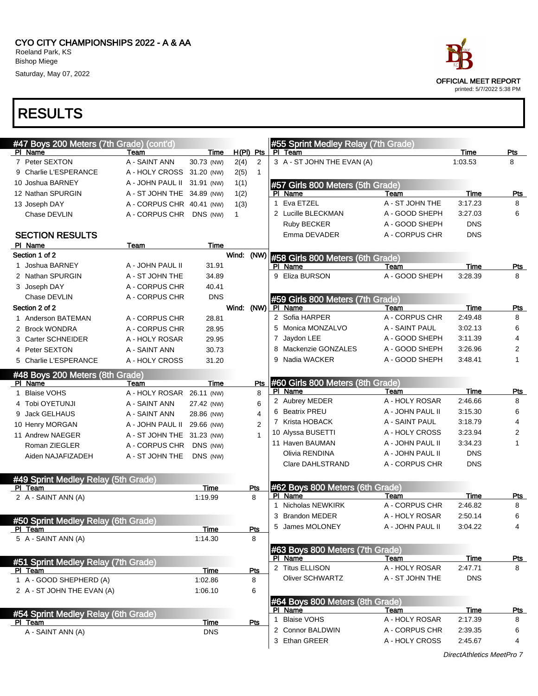

| #47 Boys 200 Meters (7th Grade) (cont'd)              |                           |                    |             |              |    | #55 Sprint Medley Relay (7th Grade)        |                  |             |                |
|-------------------------------------------------------|---------------------------|--------------------|-------------|--------------|----|--------------------------------------------|------------------|-------------|----------------|
| PI Name                                               | Team                      | Time               | $H(PI)$ Pts |              |    | PI Team                                    |                  | Time        | Pts            |
| 7 Peter SEXTON                                        | A - SAINT ANN             | 30.73 (NW)         | 2(4)        | 2            |    | 3 A - ST JOHN THE EVAN (A)                 |                  | 1:03.53     | 8              |
| 9 Charlie L'ESPERANCE                                 | A - HOLY CROSS            | 31.20 (NW)         | 2(5)        | $\mathbf{1}$ |    |                                            |                  |             |                |
| 10 Joshua BARNEY                                      | A - JOHN PAUL II          | 31.91 (NW)         | 1(1)        |              |    | #57 Girls 800 Meters (5th Grade)           |                  |             |                |
| 12 Nathan SPURGIN                                     | A - ST JOHN THE           | 34.89 (NW)         | 1(2)        |              |    | PI Name                                    | Team             | Time        | <b>Pts</b>     |
| 13 Joseph DAY                                         | A - CORPUS CHR 40.41 (NW) |                    | 1(3)        |              | 1  | Eva ETZEL                                  | A - ST JOHN THE  | 3:17.23     | 8              |
| Chase DEVLIN                                          | A - CORPUS CHR DNS (NW)   |                    | 1           |              |    | 2 Lucille BLECKMAN                         | A - GOOD SHEPH   | 3:27.03     | 6              |
|                                                       |                           |                    |             |              |    | Ruby BECKER                                | A - GOOD SHEPH   | <b>DNS</b>  |                |
| <b>SECTION RESULTS</b>                                |                           |                    |             |              |    | Emma DEVADER                               | A - CORPUS CHR   | <b>DNS</b>  |                |
| PI Name                                               | Team                      | Time               |             |              |    |                                            |                  |             |                |
| Section 1 of 2                                        |                           |                    | Wind:       | (NW)         |    | #58 Girls 800 Meters (6th Grade)           |                  |             |                |
| 1 Joshua BARNEY                                       | A - JOHN PAUL II          | 31.91              |             |              |    | PI Name                                    | Team             | Time        | <u>Pts</u>     |
| 2 Nathan SPURGIN                                      | A - ST JOHN THE           | 34.89              |             |              | 9  | Eliza BURSON                               | A - GOOD SHEPH   | 3:28.39     | 8              |
| 3 Joseph DAY                                          | A - CORPUS CHR            | 40.41              |             |              |    |                                            |                  |             |                |
| Chase DEVLIN                                          | A - CORPUS CHR            | <b>DNS</b>         |             |              |    | #59 Girls 800 Meters (7th Grade)           |                  |             |                |
| Section 2 of 2                                        |                           |                    | Wind: (NW)  |              |    | PI Name                                    | Team             | Time        | Pts            |
| 1 Anderson BATEMAN                                    | A - CORPUS CHR            | 28.81              |             |              |    | 2 Sofia HARPER                             | A - CORPUS CHR   | 2:49.48     | 8              |
| 2 Brock WONDRA                                        | A - CORPUS CHR            | 28.95              |             |              |    | 5 Monica MONZALVO                          | A - SAINT PAUL   | 3:02.13     | 6              |
| 3 Carter SCHNEIDER                                    | A - HOLY ROSAR            | 29.95              |             |              |    | 7 Jaydon LEE                               | A - GOOD SHEPH   | 3:11.39     | $\overline{4}$ |
| 4 Peter SEXTON                                        | A - SAINT ANN             | 30.73              |             |              | 8  | Mackenzie GONZALES                         | A - GOOD SHEPH   | 3:26.96     | 2              |
| 5 Charlie L'ESPERANCE                                 | A - HOLY CROSS            | 31.20              |             |              | 9  | Nadia WACKER                               | A - GOOD SHEPH   | 3:48.41     | 1              |
| #48 Boys 200 Meters (8th Grade)                       |                           |                    |             |              |    |                                            |                  |             |                |
| PI Name                                               | Team                      | Time               |             | Pts          |    | #60 Girls 800 Meters (8th Grade)           |                  |             |                |
| <b>Blaise VOHS</b>                                    | A - HOLY ROSAR            | 26.11 (NW)         |             | 8            |    | PI Name                                    | Team             | <b>Time</b> | <b>Pts</b>     |
| 4 Tobi OYETUNJI                                       | A - SAINT ANN             | 27.42 (NW)         |             | 6            |    | 2 Aubrey MEDER                             | A - HOLY ROSAR   | 2:46.66     | 8              |
| 9 Jack GELHAUS                                        | A - SAINT ANN             | 28.86 (NW)         |             | 4            |    | 6 Beatrix PREU                             | A - JOHN PAUL II | 3:15.30     | 6              |
| 10 Henry MORGAN                                       | A - JOHN PAUL II          | 29.66 (NW)         |             | 2            |    | 7 Krista HOBACK                            | A - SAINT PAUL   | 3:18.79     | $\overline{4}$ |
| 11 Andrew NAEGER                                      | A - ST JOHN THE           | 31.23 (NW)         |             |              |    | 10 Alyssa BUSETTI                          | A - HOLY CROSS   | 3:23.94     | 2              |
| Roman ZIEGLER                                         | A - CORPUS CHR            | DNS (NW)           |             |              |    | 11 Haven BAUMAN                            | A - JOHN PAUL II | 3:34.23     | 1              |
| Aiden NAJAFIZADEH                                     | A - ST JOHN THE           | DNS (NW)           |             |              |    | Olivia RENDINA                             | A - JOHN PAUL II | <b>DNS</b>  |                |
|                                                       |                           |                    |             |              |    | Clare DAHLSTRAND                           | A - CORPUS CHR   | <b>DNS</b>  |                |
|                                                       |                           |                    |             |              |    |                                            |                  |             |                |
| #49 Sprint Medley Relay (5th Grade)<br>PI Team        |                           | Time               |             | Pts          |    | #62 Boys 800 Meters (6th Grade)            |                  |             |                |
| 2 A - SAINT ANN (A)                                   |                           | 1:19.99            |             | 8            |    | PI Name                                    | Team             | Time        | Pts            |
|                                                       |                           |                    |             |              | 1. | Nicholas NEWKIRK                           | A - CORPUS CHR   | 2:46.82     | 8              |
|                                                       |                           |                    |             |              | 3  | <b>Brandon MEDER</b>                       | A - HOLY ROSAR   | 2:50.14     | 6              |
| #50 Sprint Medley Relay (6th Grade)<br><u>PI Team</u> |                           | <u>Time</u>        |             | <u>Pts</u>   | 5  | James MOLONEY                              | A - JOHN PAUL II | 3:04.22     | 4              |
| 5 A - SAINT ANN (A)                                   |                           | 1:14.30            |             | 8            |    |                                            |                  |             |                |
|                                                       |                           |                    |             |              |    | #63 Boys 800 Meters (7th Grade)            |                  |             |                |
|                                                       |                           |                    |             |              |    | PI Name                                    | Team             | Time        | <u>Pts</u>     |
| #51 Sprint Medley Relay (7th Grade)<br>PI Team        |                           | <b>Time</b>        |             | Pts          |    | 2 Titus ELLISON                            | A - HOLY ROSAR   | 2:47.71     | 8              |
| 1 A - GOOD SHEPHERD (A)                               |                           | 1:02.86            |             | 8            |    | Oliver SCHWARTZ                            | A - ST JOHN THE  | <b>DNS</b>  |                |
| 2 A - ST JOHN THE EVAN (A)                            |                           | 1:06.10            |             | 6            |    |                                            |                  |             |                |
|                                                       |                           |                    |             |              |    |                                            |                  |             |                |
|                                                       |                           |                    |             |              |    | #64 Boys 800 Meters (8th Grade)<br>PI Name | Team             | <b>Time</b> | <u>Pts</u>     |
| #54 Sprint Medley Relay (6th Grade)                   |                           |                    |             |              |    | <b>Blaise VOHS</b>                         | A - HOLY ROSAR   | 2:17.39     | 8              |
| PI Team<br>A - SAINT ANN (A)                          |                           | Time<br><b>DNS</b> |             | Pts          |    | 2 Connor BALDWIN                           | A - CORPUS CHR   | 2:39.35     | 6              |
|                                                       |                           |                    |             |              |    | 3 Ethan GREER                              | A - HOLY CROSS   | 2:45.67     | 4              |
|                                                       |                           |                    |             |              |    |                                            |                  |             |                |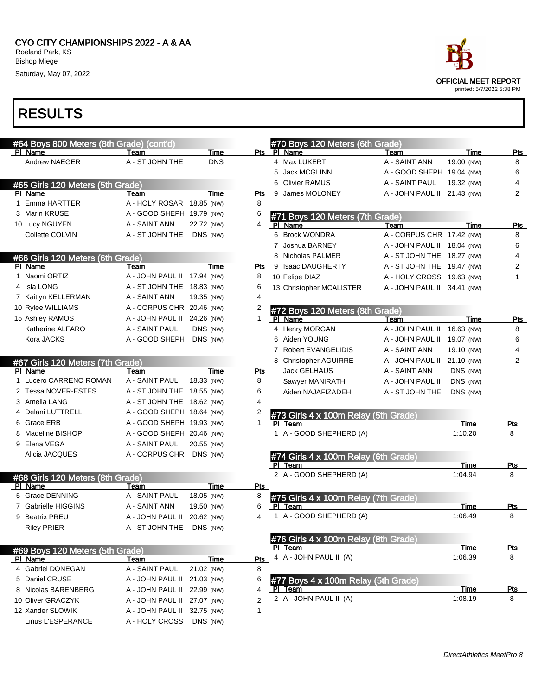#### CYO CITY CHAMPIONSHIPS 2022 - A & AA Roeland Park, KS Bishop Miege

Saturday, May 07, 2022

| #64 Boys 800 Meters (8th Grade) (cont'd)    |                            |            |     |   | #70 Boys 120 Meters (6th Grade)      |                             |            |      |                |
|---------------------------------------------|----------------------------|------------|-----|---|--------------------------------------|-----------------------------|------------|------|----------------|
| PI Name                                     | Team                       | Time       | Pts |   | PI Name                              | Team                        |            | Time | <u>Pts</u>     |
| Andrew NAEGER                               | A - ST JOHN THE            | <b>DNS</b> |     |   | 4 Max LUKERT                         | A - SAINT ANN               | 19.00 (NW) |      | 8              |
|                                             |                            |            |     | 5 | Jack MCGLINN                         | A - GOOD SHEPH 19.04 (NW)   |            |      | 6              |
| #65 Girls 120 Meters (5th Grade)            |                            |            |     | 6 | <b>Olivier RAMUS</b>                 | A - SAINT PAUL              | 19.32 (NW) |      | 4              |
| PI Name                                     | Team                       | Time       | Pts | 9 | James MOLONEY                        | A - JOHN PAUL II 21.43 (NW) |            |      | 2              |
| 1 Emma HARTTER                              | A - HOLY ROSAR 18.85 (NW)  |            | 8   |   |                                      |                             |            |      |                |
| 3 Marin KRUSE                               | A - GOOD SHEPH 19.79 (NW)  |            | 6   |   | #71 Boys 120 Meters (7th Grade)      |                             |            |      |                |
| 10 Lucy NGUYEN                              | A - SAINT ANN              | 22.72 (NW) | 4   |   | PI Name                              | Team                        |            | Time | Pts            |
| Collette COLVIN                             | A - ST JOHN THE            | DNS (NW)   |     |   | 6 Brock WONDRA                       | A - CORPUS CHR 17.42 (NW)   |            |      | 8              |
|                                             |                            |            |     |   | 7 Joshua BARNEY                      | A - JOHN PAUL II 18.04 (NW) |            |      | 6              |
| #66 Girls 120 Meters (6th Grade)            |                            |            |     |   | 8 Nicholas PALMER                    | A - ST JOHN THE 18.27 (NW)  |            |      | 4              |
| PI Name                                     | Team                       | Time       | Pts |   | 9 Isaac DAUGHERTY                    | A - ST JOHN THE 19.47 (NW)  |            |      | 2              |
| 1 Naomi ORTIZ                               | A - JOHN PAUL II           | 17.94 (NW) | 8   |   | 10 Felipe DIAZ                       | A - HOLY CROSS 19.63 (NW)   |            |      | 1              |
| 4 Isla LONG                                 | A - ST JOHN THE 18.83 (NW) |            | 6   |   | 13 Christopher MCALISTER             | A - JOHN PAUL II 34.41 (NW) |            |      |                |
| 7 Kaitlyn KELLERMAN                         | A - SAINT ANN              | 19.35 (NW) | 4   |   |                                      |                             |            |      |                |
| 10 Rylee WILLIAMS                           | A - CORPUS CHR 20.46 (NW)  |            | 2   |   | #72 Boys 120 Meters (8th Grade)      |                             |            |      |                |
| 15 Ashley RAMOS                             | A - JOHN PAUL II           | 24.26 (NW) | 1   |   | PI Name                              | Team                        |            | Time | Pts            |
| Katherine ALFARO                            | A - SAINT PAUL             | DNS (NW)   |     |   | 4 Henry MORGAN                       | A - JOHN PAUL II            | 16.63 (NW) |      | 8              |
| Kora JACKS                                  | A - GOOD SHEPH             | DNS (NW)   |     |   | Aiden YOUNG                          | A - JOHN PAUL II 19.07 (NW) |            |      | 6              |
|                                             |                            |            |     |   | <b>Robert EVANGELIDIS</b>            | A - SAINT ANN               | 19.10 (NW) |      | 4              |
|                                             |                            |            |     | 8 | <b>Christopher AGUIRRE</b>           | A - JOHN PAUL II            | 21.10 (NW) |      | $\overline{2}$ |
| #67 Girls 120 Meters (7th Grade)<br>PI Name | Team                       | Time       | Pts |   | Jack GELHAUS                         | A - SAINT ANN               | DNS (NW)   |      |                |
| 1 Lucero CARRENO ROMAN                      | A - SAINT PAUL             | 18.33 (NW) | 8   |   |                                      | A - JOHN PAUL II            | DNS (NW)   |      |                |
| 2 Tessa NOVER-ESTES                         | A - ST JOHN THE 18.55 (NW) |            | 6   |   | Sawyer MANIRATH                      |                             |            |      |                |
| 3 Amelia LANG                               |                            |            | 4   |   | Aiden NAJAFIZADEH                    | A - ST JOHN THE             | DNS (NW)   |      |                |
|                                             | A - ST JOHN THE 18.62 (NW) |            |     |   |                                      |                             |            |      |                |
| 4 Delani LUTTRELL                           | A - GOOD SHEPH 18.64 (NW)  |            | 2   |   | #73 Girls 4 x 100m Relay (5th Grade) |                             |            |      |                |
| 6 Grace ERB                                 | A - GOOD SHEPH 19.93 (NW)  |            | 1   |   | PI Team                              |                             |            | Time | Pts            |
| 8 Madeline BISHOP                           | A - GOOD SHEPH 20.46 (NW)  |            |     |   | 1 A - GOOD SHEPHERD (A)              |                             | 1:10.20    |      | 8              |
| 9 Elena VEGA                                | A - SAINT PAUL             | 20.55 (NW) |     |   |                                      |                             |            |      |                |
| Alicia JACQUES                              | A - CORPUS CHR             | DNS (NW)   |     |   | #74 Girls 4 x 100m Relay (6th Grade) |                             |            |      |                |
|                                             |                            |            |     |   | PI Team                              |                             |            | Time | Pts            |
| #68 Girls 120 Meters (8th Grade)            |                            |            |     |   | 2 A - GOOD SHEPHERD (A)              |                             | 1:04.94    |      | 8              |
| PI Name                                     | Team                       | Time       | Pts |   |                                      |                             |            |      |                |
| 5 Grace DENNING                             | A - SAINT PAUL             | 18.05 (NW) | 8   |   | #75 Girls 4 x 100m Relay (7th Grade) |                             |            |      |                |
| 7 Gabrielle HIGGINS                         | A - SAINT ANN              | 19.50 (NW) | 6   |   | PI Team                              |                             |            | Time | Pts            |
| 9 Beatrix PREU                              | A - JOHN PAUL II           | 20.62 (NW) | 4   |   | 1 A - GOOD SHEPHERD (A)              |                             | 1:06.49    |      | 8              |
| <b>Riley PRIER</b>                          | A - ST JOHN THE DNS (NW)   |            |     |   |                                      |                             |            |      |                |
|                                             |                            |            |     |   | #76 Girls 4 x 100m Relay (8th Grade) |                             |            |      |                |
| #69 Boys 120 Meters (5th Grade)             |                            |            |     |   | PI Team                              |                             |            | Time | <u>Pts</u>     |
| PI Name                                     | Team                       | Time       | Pts |   | 4 A - JOHN PAUL II (A)               |                             | 1:06.39    |      | 8              |
| 4 Gabriel DONEGAN                           | A - SAINT PAUL             | 21.02 (NW) | 8   |   |                                      |                             |            |      |                |
| 5 Daniel CRUSE                              | A - JOHN PAUL II           | 21.03 (NW) | 6   |   | #77 Boys 4 x 100m Relay (5th Grade)  |                             |            |      |                |
| 8 Nicolas BARENBERG                         | A - JOHN PAUL II           | 22.99 (NW) | 4   |   | PI Team                              |                             |            | Time | Pts            |
| 10 Oliver GRACZYK                           | A - JOHN PAUL II           | 27.07 (NW) | 2   |   | 2 A - JOHN PAUL II (A)               |                             | 1:08.19    |      | 8              |
| 12 Xander SLOWIK                            | A - JOHN PAUL II           | 32.75 (NW) | 1   |   |                                      |                             |            |      |                |
| Linus L'ESPERANCE                           | A - HOLY CROSS             | DNS (NW)   |     |   |                                      |                             |            |      |                |

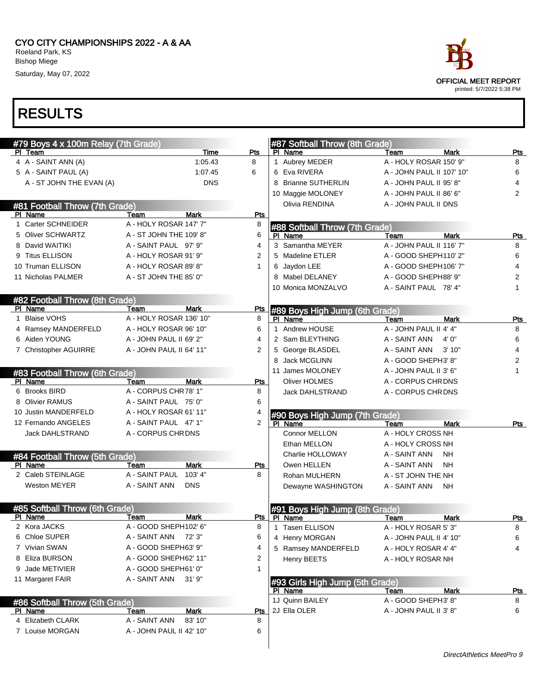| ace                                               |
|---------------------------------------------------|
| OFFICIAL MEET REPORT<br>printed: 5/7/2022 5:38 PM |

| #79 Boys 4 x 100m Relay (7th Grade) |                          |             |             |                               | #87 Softball Throw (8th Grade)  |                           |             |            |
|-------------------------------------|--------------------------|-------------|-------------|-------------------------------|---------------------------------|---------------------------|-------------|------------|
| PI Team                             |                          | Time        | Pts         | PI.<br>Name                   |                                 | Team                      | <b>Mark</b> | Pts        |
| 4 A - SAINT ANN (A)                 |                          | 1:05.43     | 8           | 1 Aubrey MEDER                |                                 | A - HOLY ROSAR 150' 9"    |             | 8          |
| 5 A - SAINT PAUL (A)                |                          | 1:07.45     | 6           | 6 Eva RIVERA                  |                                 | A - JOHN PAUL II 107' 10" |             | 6          |
| A - ST JOHN THE EVAN (A)            |                          | <b>DNS</b>  |             | <b>Brianne SUTHERLIN</b><br>8 |                                 | A - JOHN PAUL II 95' 8"   |             | 4          |
|                                     |                          |             |             | 10 Maggie MOLONEY             |                                 | A - JOHN PAUL II 86' 6"   |             | 2          |
| #81 Football Throw (7th Grade)      |                          |             |             | Olivia RENDINA                |                                 | A - JOHN PAUL II DNS      |             |            |
| PI Name                             | Team                     | <b>Mark</b> | Pts         |                               |                                 |                           |             |            |
| 1 Carter SCHNEIDER                  | A - HOLY ROSAR 147' 7"   |             | 8           |                               | #88 Softball Throw (7th Grade)  |                           |             |            |
| 5 Oliver SCHWARTZ                   | A - ST JOHN THE 109' 8"  |             | 6           | PI Name                       |                                 | Team                      | <b>Mark</b> | Pts        |
| 8 David WAITIKI                     | A - SAINT PAUL 97' 9"    |             | 4           | 3 Samantha MEYER              |                                 | A - JOHN PAUL II 116' 7"  |             | 8          |
| 9 Titus ELLISON                     | A - HOLY ROSAR 91' 9"    |             | 2           | 5 Madeline ETLER              |                                 | A - GOOD SHEPH110' 2"     |             | 6          |
| 10 Truman ELLISON                   | A - HOLY ROSAR 89' 8"    |             | $\mathbf 1$ | 6 Jaydon LEE                  |                                 | A - GOOD SHEPH106' 7"     |             | 4          |
| 11 Nicholas PALMER                  | A - ST JOHN THE 85' 0"   |             |             | 8 Mabel DELANEY               |                                 | A - GOOD SHEPH88' 9"      |             | 2          |
|                                     |                          |             |             | 10 Monica MONZALVO            |                                 | A - SAINT PAUL 78' 4"     |             | 1          |
| #82 Football Throw (8th Grade)      |                          |             |             |                               |                                 |                           |             |            |
| PI Name                             | Team                     | <b>Mark</b> | Pts         |                               | #89 Boys High Jump (6th Grade)  |                           |             |            |
| 1 Blaise VOHS                       | A - HOLY ROSAR 136' 10"  |             | 8           | PI Name                       |                                 | Team                      | Mark        | Pts        |
| 4 Ramsey MANDERFELD                 | A - HOLY ROSAR 96' 10"   |             | 6           | 1 Andrew HOUSE                |                                 | A - JOHN PAUL II 4' 4"    |             | 8          |
| 6 Aiden YOUNG                       | A - JOHN PAUL II 69' 2"  |             | 4           | 2 Sam BLEYTHING               |                                 | A - SAINT ANN             | 4'0''       | 6          |
| 7 Christopher AGUIRRE               | A - JOHN PAUL II 64' 11" |             | 2           | 5 George BLASDEL              |                                 | A - SAINT ANN             | 3'10"       | 4          |
|                                     |                          |             |             | <b>Jack MCGLINN</b><br>8      |                                 | A - GOOD SHEPH3' 8"       |             | 2          |
| #83 Football Throw (6th Grade)      |                          |             |             | 11 James MOLONEY              |                                 | A - JOHN PAUL II 3' 6"    |             | 1          |
| PI Name                             | Team                     | <b>Mark</b> | Pts         | <b>Oliver HOLMES</b>          |                                 | A - CORPUS CHRDNS         |             |            |
| 6 Brooks BIRD                       | A - CORPUS CHR78' 1"     |             | 8           | <b>Jack DAHLSTRAND</b>        |                                 | A - CORPUS CHR DNS        |             |            |
| 8 Olivier RAMUS                     | A - SAINT PAUL 75' 0"    |             | 6           |                               |                                 |                           |             |            |
| 10 Justin MANDERFELD                | A - HOLY ROSAR 61' 11"   |             | 4           |                               | #90 Boys High Jump (7th Grade)  |                           |             |            |
| 12 Fernando ANGELES                 | A - SAINT PAUL 47' 1"    |             | 2           | PI Name                       |                                 | Team                      | <b>Mark</b> | <b>Pts</b> |
| Jack DAHLSTRAND                     | A - CORPUS CHRDNS        |             |             | Connor MELLON                 |                                 | A - HOLY CROSS NH         |             |            |
|                                     |                          |             |             | Ethan MELLON                  |                                 | A - HOLY CROSS NH         |             |            |
| #84 Football Throw (5th Grade)      |                          |             |             | Charlie HOLLOWAY              |                                 | A - SAINT ANN             | <b>NH</b>   |            |
| PI Name                             | Team                     | <b>Mark</b> | Pts         | Owen HELLEN                   |                                 | A - SAINT ANN             | <b>NH</b>   |            |
| 2 Caleb STEINLAGE                   | A - SAINT PAUL           | 103' 4"     | 8           | Rohan MULHERN                 |                                 | A - ST JOHN THE NH        |             |            |
| <b>Weston MEYER</b>                 | A - SAINT ANN            | <b>DNS</b>  |             | Dewayne WASHINGTON            |                                 | A - SAINT ANN             | <b>NH</b>   |            |
|                                     |                          |             |             |                               |                                 |                           |             |            |
| #85 Softball Throw (6th Grade)      |                          |             |             |                               | #91 Boys High Jump (8th Grade)  |                           |             |            |
| PI Name                             | Team                     | <b>Mark</b> |             | Pts PI Name                   |                                 | Team                      | <b>Mark</b> | <b>Pts</b> |
| 2 Kora JACKS                        | A - GOOD SHEPH102' 6"    |             | 8           | 1 Tasen ELLISON               |                                 | A - HOLY ROSAR 5' 3"      |             | 8          |
| 6 Chloe SUPER                       | A - SAINT ANN 72' 3"     |             | 6           | 4 Henry MORGAN                |                                 | A - JOHN PAUL II 4' 10"   |             | 6          |
| 7 Vivian SWAN                       | A - GOOD SHEPH63' 9"     |             | 4           | 5 Ramsey MANDERFELD           |                                 | A - HOLY ROSAR 4' 4"      |             | 4          |
| 8 Eliza BURSON                      | A - GOOD SHEPH62' 11"    |             | 2           | Henry BEETS                   |                                 | A - HOLY ROSAR NH         |             |            |
| 9 Jade METIVIER                     | A - GOOD SHEPH61' 0"     |             | 1           |                               |                                 |                           |             |            |
| 11 Margaret FAIR                    | A - SAINT ANN            | 31'9''      |             |                               | #93 Girls High Jump (5th Grade) |                           |             |            |
|                                     |                          |             |             | PI Name                       |                                 | Team                      | Mark        | <u>Pts</u> |
| #86 Softball Throw (5th Grade)      |                          |             |             | 1J Quinn BAILEY               |                                 | A - GOOD SHEPH3' 8"       |             | 8          |
| PI Name                             | Team                     | Mark        | <u>Pts</u>  | 2J Ella OLER                  |                                 | A - JOHN PAUL II 3' 8"    |             | 6          |
| 4 Elizabeth CLARK                   | A - SAINT ANN            | 83' 10"     | 8           |                               |                                 |                           |             |            |
| 7 Louise MORGAN                     | A - JOHN PAUL II 42' 10" |             | 6           |                               |                                 |                           |             |            |
|                                     |                          |             |             |                               |                                 |                           |             |            |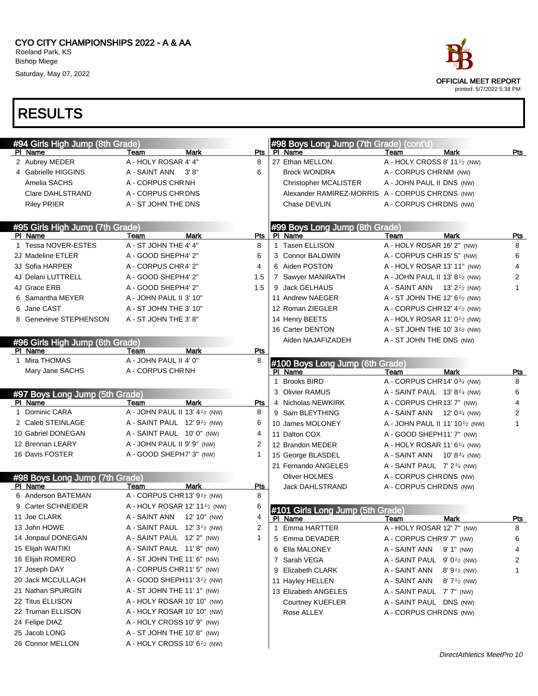

|                                 | #94 Girls High Jump (8th Grade) |                                                       |            |              | #98 Boys Long Jump (7th Grade) (cont'd)         |                                             |                                       |              |
|---------------------------------|---------------------------------|-------------------------------------------------------|------------|--------------|-------------------------------------------------|---------------------------------------------|---------------------------------------|--------------|
|                                 | PI Name                         | <b>Mark</b><br>Team                                   | Pts        |              | PI Name                                         | Team                                        | <b>Mark</b>                           | Pts          |
|                                 | 2 Aubrey MEDER                  | A - HOLY ROSAR 4' 4"                                  | 8          |              | 27 Ethan MELLON                                 | A - HOLY CROSS 8' 11 <sup>1/2</sup> (NW)    |                                       |              |
|                                 | 4 Gabrielle HIGGINS             | A - SAINT ANN<br>3' 8"                                | 6          |              | <b>Brock WONDRA</b>                             | A - CORPUS CHRNM (NW)                       |                                       |              |
|                                 | Amelia SACHS                    | A - CORPUS CHRNH                                      |            |              | Christopher MCALISTER                           | A - JOHN PAUL II DNS (NW)                   |                                       |              |
|                                 | Clare DAHLSTRAND                | A - CORPUS CHRDNS                                     |            |              | Alexander RAMIREZ-MORRIS A - CORPUS CHRDNS (NW) |                                             |                                       |              |
|                                 | <b>Riley PRIER</b>              | A - ST JOHN THE DNS                                   |            |              | Chase DEVLIN                                    | A - CORPUS CHRDNS (NW)                      |                                       |              |
|                                 |                                 |                                                       |            |              |                                                 |                                             |                                       |              |
| #95 Girls High Jump (7th Grade) |                                 |                                                       |            |              | #99 Boys Long Jump (8th Grade)                  |                                             |                                       |              |
|                                 | PI Name                         | Team<br><b>Mark</b>                                   | Pts        |              | PI Name                                         | Team                                        | <b>Mark</b>                           | Pts          |
|                                 | 1 Tessa NOVER-ESTES             | A - ST JOHN THE 4' 4"                                 | 8          | $\mathbf{1}$ | <b>Tasen ELLISON</b>                            | A - HOLY ROSAR 16' 2" (NW)                  |                                       | 8            |
|                                 | 2J Madeline ETLER               | A - GOOD SHEPH4' 2"                                   | 6          |              | 3 Connor BALDWIN                                | A - CORPUS CHR 15' 5" (NW)                  |                                       | 6            |
|                                 | 3J Sofia HARPER                 | A - CORPUS CHR4' 2"                                   | 4          |              | 6 Aiden POSTON                                  | A - HOLY ROSAR 13' 11" (NW)                 |                                       | 4            |
|                                 | 4J Delani LUTTRELL              | A - GOOD SHEPH4' 2"                                   | 1.5        |              | 7 Sawyer MANIRATH                               | A - JOHN PAUL II 13' 8 <sup>1</sup> /2 (NW) |                                       | 2            |
|                                 | 4J Grace ERB                    | A - GOOD SHEPH4' 2"                                   | 1.5        |              | 9 Jack GELHAUS                                  | A - SAINT ANN $13'2'$ (NW)                  |                                       | $\mathbf{1}$ |
|                                 | 6 Samantha MEYER                | A - JOHN PAUL II 3' 10"                               |            |              | 11 Andrew NAEGER                                | A - ST JOHN THE 12' $6\frac{1}{2}$ (NW)     |                                       |              |
| 6.                              | Jane CAST                       | A - ST JOHN THE 3' 10"                                |            |              | 12 Roman ZIEGLER                                | A - CORPUS CHR 12' $4\frac{1}{2}$ (NW)      |                                       |              |
|                                 | 8 Genevieve STEPHENSON          | A - ST JOHN THE 3' 8"                                 |            |              | 14 Henry BEETS                                  | A - HOLY ROSAR 11' 0 <sup>1</sup> /2 (NW)   |                                       |              |
|                                 |                                 |                                                       |            |              | 16 Carter DENTON                                | A - ST JOHN THE 10' $3\frac{1}{2}$ (NW)     |                                       |              |
|                                 | #96 Girls High Jump (6th Grade) |                                                       |            |              | Aiden NAJAFIZADEH                               | A - ST JOHN THE DNS (NW)                    |                                       |              |
|                                 | PI Name                         | <b>Mark</b><br>Team                                   | Pts        |              |                                                 |                                             |                                       |              |
|                                 | 1 Mira THOMAS                   | A - JOHN PAUL II 4' 0"                                | 8          |              | #100 Boys Long Jump (6th Grade)                 |                                             |                                       |              |
|                                 | Mary Jane SACHS                 | A - CORPUS CHRNH                                      |            |              | PI Name                                         | Team                                        | <b>Mark</b>                           | Pts          |
|                                 |                                 |                                                       |            | 1            | <b>Brooks BIRD</b>                              | A - CORPUS CHR 14' 03/4 (NW)                |                                       | 8            |
|                                 | #97 Boys Long Jump (5th Grade)  |                                                       |            |              | 3 Olivier RAMUS                                 | A - SAINT PAUL $13' 8'$ (NW)                |                                       | 6            |
|                                 | PI Name                         | <b>Mark</b><br>Team                                   | Pts        |              | 4 Nicholas NEWKIRK                              | A - CORPUS CHR 13' 7" (NW)                  |                                       | 4            |
|                                 | 1 Dominic CARA                  | A - JOHN PAUL II 13' $4\frac{1}{2}$ (NW)              | 8          |              | 9 Sam BLEYTHING                                 | A - SAINT ANN $12' 0^{3/4}$ (NW)            |                                       | 2            |
|                                 | 2 Caleb STEINLAGE               | A - SAINT PAUL $12'9'$ (NW)                           | 6          |              | 10 James MOLONEY                                | A - JOHN PAUL II 11' 101/2 (NW)             |                                       | 1            |
|                                 | 10 Gabriel DONEGAN              | A - SAINT PAUL 10' 0" (NW)                            | 4          |              | 11 Dalton COX                                   | A - GOOD SHEPH11' 7" (NW)                   |                                       |              |
|                                 | 12 Brennan LEARY                | A - JOHN PAUL II 9' 9" (NW)                           | 2          |              | 12 Brandon MEDER                                | A - HOLY ROSAR 11' 6 $\frac{1}{4}$ (NW)     |                                       |              |
|                                 | 16 Davis FOSTER                 | A - GOOD SHEPH7' 3" (NW)                              | 1          |              | 15 George BLASDEL                               | A - SAINT ANN                               | 10' 8 $\frac{3}{4}$ (NW)              |              |
|                                 |                                 |                                                       |            |              | 21 Fernando ANGELES                             | A - SAINT PAUL $7' 2^{3/4}$ (NW)            |                                       |              |
|                                 | #98 Boys Long Jump (7th Grade)  |                                                       |            |              | Oliver HOLMES                                   | A - CORPUS CHRDNS (NW)                      |                                       |              |
|                                 | PI Name                         | Team<br>Mark                                          | <b>Pts</b> |              | <b>Jack DAHLSTRAND</b>                          | A - CORPUS CHRDNS (NW)                      |                                       |              |
|                                 | 6 Anderson BATEMAN              | A - CORPUS CHR 13' 9 <sup>1</sup> / <sub>2</sub> (NW) | 8          |              |                                                 |                                             |                                       |              |
|                                 | 9 Carter SCHNEIDER              | A - HOLY ROSAR 12' 11 $\frac{1}{2}$ (NW)              | 6          |              | #101 Girls Long Jump (5th Grade)                |                                             |                                       |              |
|                                 | 11 Joe CLARK                    | A - SAINT ANN<br>12' 10" (NW)                         | 4          |              | PI Name                                         | Team                                        | <b>Mark</b>                           | Pts          |
|                                 | 13 John HOWE                    | A - SAINT PAUL $12'3'$ (NW)                           | 2          |              | 1 Emma HARTTER                                  | A - HOLY ROSAR 12' 7" (NW)                  |                                       | 8            |
|                                 | 14 Jonpaul DONEGAN              | A - SAINT PAUL 12' 2" (NW)                            | 1          |              | 5 Emma DEVADER                                  | A - CORPUS CHR9' 7" (NW)                    |                                       | 6            |
|                                 | 15 Elijah WAITIKI               | A - SAINT PAUL 11'8" (NW)                             |            |              | 6 Ella MALONEY                                  | A - SAINT ANN 9' 1" (NW)                    |                                       | 4            |
|                                 | 16 Elijah ROMERO                | A - ST JOHN THE 11' 6" (NW)                           |            |              | 7 Sarah VEGA                                    | A - SAINT PAUL $9'0'$ (NW)                  |                                       | 2            |
|                                 | 17 Joseph DAY                   | A - CORPUS CHR11' 5" (NW)                             |            |              | 9 Elizabeth CLARK                               | A - SAINT ANN                               | 8' 9 <sup>1</sup> / <sub>2</sub> (NW) | 1            |
|                                 | 20 Jack MCCULLAGH               | A - GOOD SHEPH11' $3\frac{1}{2}$ (NW)                 |            |              | 11 Hayley HELLEN                                | A - SAINT ANN                               | 8' $7\frac{1}{2}$ (NW)                |              |
|                                 | 21 Nathan SPURGIN               | A - ST JOHN THE 11' 1" (NW)                           |            |              | 13 Elizabeth ANGELES                            | A - SAINT PAUL 7' 7" (NW)                   |                                       |              |
|                                 | 22 Titus ELLISON                | A - HOLY ROSAR 10' 10" (NW)                           |            |              | Courtney KUEFLER                                | A - SAINT PAUL DNS (NW)                     |                                       |              |
|                                 | 22 Truman ELLISON               | A - HOLY ROSAR 10' 10" (NW)                           |            |              | Rose ALLEY                                      | A - CORPUS CHRDNS (NW)                      |                                       |              |
|                                 | 24 Felipe DIAZ                  | A - HOLY CROSS 10' 9" (NW)                            |            |              |                                                 |                                             |                                       |              |
|                                 | 25 Jacob LONG                   | A - ST JOHN THE 10' 8" (NW)                           |            |              |                                                 |                                             |                                       |              |
|                                 | 26 Connor MELLON                | A - HOLY CROSS 10' 6 <sup>1</sup> / <sub>2</sub> (NW) |            |              |                                                 |                                             |                                       |              |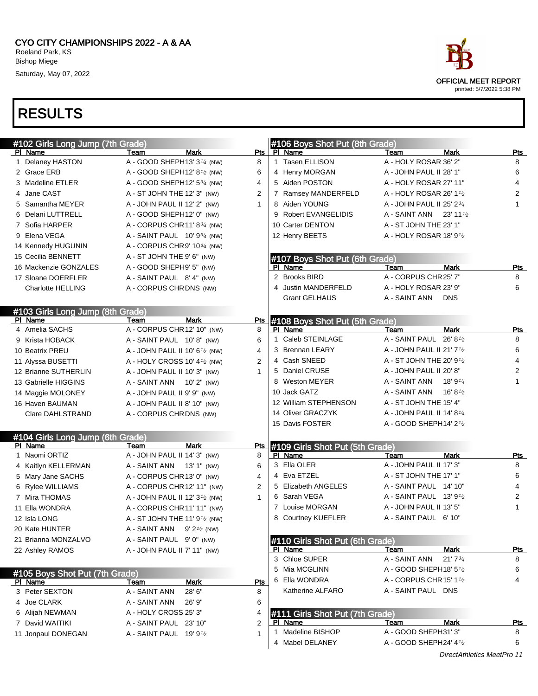# RESULTS

| #102 Girls Long Jump (7th Grade) |                                                        |                | #106 Boys Shot Put (8th Grade)  |                                                   |                |
|----------------------------------|--------------------------------------------------------|----------------|---------------------------------|---------------------------------------------------|----------------|
| PI Name                          | Mark<br>Team                                           | Pts            | PI Name                         | <b>Mark</b><br>Team                               | Pts            |
| 1 Delaney HASTON                 | A - GOOD SHEPH13' 3 <sup>1/4</sup> (NW)                | 8              | 1 Tasen ELLISON                 | A - HOLY ROSAR 36' 2"                             | 8              |
| 2 Grace ERB                      | A - GOOD SHEPH12' $8\frac{1}{2}$ (NW)                  | 6              | 4 Henry MORGAN                  | A - JOHN PAUL II 28' 1"                           | 6              |
| 3 Madeline ETLER                 | A - GOOD SHEPH12' 534 (NW)                             | 4              | 5 Aiden POSTON                  | A - HOLY ROSAR 27' 11"                            | $\overline{4}$ |
| 4 Jane CAST                      | A - ST JOHN THE 12' 3" (NW)                            | 2              | 7 Ramsey MANDERFELD             | A - HOLY ROSAR 26' 1 <sup>1</sup> /2              | $\overline{2}$ |
| 5 Samantha MEYER                 | A - JOHN PAUL II 12' 2" (NW)                           | $\mathbf{1}$   | 8 Aiden YOUNG                   | A - JOHN PAUL II 25' 23/4                         | 1              |
| 6 Delani LUTTRELL                | A - GOOD SHEPH12' 0" (NW)                              |                | 9 Robert EVANGELIDIS            | A - SAINT ANN 23' 11 $\frac{1}{2}$                |                |
| 7 Sofia HARPER                   | A - CORPUS CHR11' 834 (NW)                             |                | 10 Carter DENTON                | A - ST JOHN THE 23' 1"                            |                |
| 9 Elena VEGA                     | A - SAINT PAUL $10'9^{3/4}$ (NW)                       |                | 12 Henry BEETS                  | A - HOLY ROSAR 18' 91/2                           |                |
| 14 Kennedy HUGUNIN               | A - CORPUS CHR9' 1034 (NW)                             |                |                                 |                                                   |                |
| 15 Cecilia BENNETT               | A - ST JOHN THE 9' 6" (NW)                             |                | #107 Boys Shot Put (6th Grade)  |                                                   |                |
| 16 Mackenzie GONZALES            | A - GOOD SHEPH9' 5" (NW)                               |                | PI Name                         | Mark<br>Team                                      | Pts            |
| 17 Sloane DOERFLER               | A - SAINT PAUL 8' 4" (NW)                              |                | 2 Brooks BIRD                   | A - CORPUS CHR 25' 7"                             | 8              |
| <b>Charlotte HELLING</b>         | A - CORPUS CHRDNS (NW)                                 |                | 4 Justin MANDERFELD             | A - HOLY ROSAR 23' 9"                             | 6              |
|                                  |                                                        |                | <b>Grant GELHAUS</b>            | A - SAINT ANN<br><b>DNS</b>                       |                |
| #103 Girls Long Jump (8th Grade) |                                                        |                |                                 |                                                   |                |
| PI Name                          | <b>Mark</b><br>Team                                    | Pts            | #108 Boys Shot Put (5th Grade)  |                                                   |                |
| 4 Amelia SACHS                   | A - CORPUS CHR12' 10" (NW)                             | 8              | PI Name                         | <b>Mark</b><br>Team                               | Pts            |
| 9 Krista HOBACK                  | A - SAINT PAUL 10' 8" (NW)                             | 6              | 1 Caleb STEINLAGE               | A - SAINT PAUL 26' $8\frac{1}{2}$                 | 8              |
| 10 Beatrix PREU                  | A - JOHN PAUL II 10' 61/2 (NW)                         | 4              | 3 Brennan LEARY                 | A - JOHN PAUL II 21' 7 <sup>1</sup> /2            | 6              |
| 11 Alyssa BUSETTI                | A - HOLY CROSS 10' 4 <sup>1/2</sup> (NW)               | $\overline{2}$ | 4 Cash SNEED                    | A - ST JOHN THE 20' 9 <sup>1</sup> / <sub>2</sub> | 4              |
| 12 Brianne SUTHERLIN             | A - JOHN PAUL II 10' 3" (NW)                           | 1              | 5 Daniel CRUSE                  | A - JOHN PAUL II 20' 8"                           | 2              |
| 13 Gabrielle HIGGINS             | A - SAINT ANN 10' 2" (NW)                              |                | 8 Weston MEYER                  | A - SAINT ANN<br>18' 9 $\frac{1}{4}$              | 1              |
| 14 Maggie MOLONEY                | A - JOHN PAUL II 9' 9" (NW)                            |                | 10 Jack GATZ                    | A - SAINT ANN<br>16' 8 $\frac{1}{2}$              |                |
| 16 Haven BAUMAN                  | A - JOHN PAUL II 8' 10" (NW)                           |                | 12 William STEPHENSON           | A - ST JOHN THE 15' 4"                            |                |
| Clare DAHLSTRAND                 | A - CORPUS CHRDNS (NW)                                 |                | 14 Oliver GRACZYK               | A - JOHN PAUL II 14' 81/4                         |                |
|                                  |                                                        |                | 15 Davis FOSTER                 | A - GOOD SHEPH14' 2 <sup>1</sup> /2               |                |
| #104 Girls Long Jump (6th Grade) |                                                        |                |                                 |                                                   |                |
| PI Name                          | Team<br>Mark                                           | Pts            | #109 Girls Shot Put (5th Grade) |                                                   |                |
| 1 Naomi ORTIZ                    | A - JOHN PAUL II 14' 3" (NW)                           | 8              | PI Name                         | <b>Mark</b><br>Team                               | Pts            |
| 4 Kaitlyn KELLERMAN              | A - SAINT ANN<br>13' 1" (NW)                           | 6              | 3 Ella OLER                     | A - JOHN PAUL II 17' 3"                           | 8              |
| 5 Mary Jane SACHS                | A - CORPUS CHR13' 0" (NW)                              | 4              | 4 Eva ETZEL                     | A - ST JOHN THE 17' 1"                            | 6              |
| 6 Rylee WILLIAMS                 | A - CORPUS CHR12' 11" (NW)                             | 2              | 5 Elizabeth ANGELES             | A - SAINT PAUL 14' 10"                            | 4              |
| 7 Mira THOMAS                    | A - JOHN PAUL II 12' 3 <sup>1/2</sup> (NW)             | $\mathbf{1}$   | 6 Sarah VEGA                    | A - SAINT PAUL $13'9'$                            | 2              |
| 11 Ella WONDRA                   | A - CORPUS CHR11' 11" (NW)                             |                | 7 Louise MORGAN                 | A - JOHN PAUL II 13' 5"                           | 1              |
| 12 Isla LONG                     | A - ST JOHN THE 11' 9 <sup>1</sup> / <sub>2</sub> (NW) |                | 8 Courtney KUEFLER              | A - SAINT PAUL 6' 10"                             |                |
| 20 Kate HUNTER                   | A - SAINT ANN $9'2'$ (NW)                              |                |                                 |                                                   |                |
| 21 Brianna MONZALVO              | A - SAINT PAUL 9' 0" (NW)                              |                | #110 Girls Shot Put (6th Grade) |                                                   |                |
| 22 Ashley RAMOS                  | A - JOHN PAUL II 7' 11" (NW)                           |                | PI Name                         | <b>Mark</b><br>Team                               | <u>Pts</u>     |
|                                  |                                                        |                | 3 Chloe SUPER                   | A - SAINT ANN<br>21'73/4                          | 8              |
| #105 Boys Shot Put (7th Grade)   |                                                        |                | 5 Mia MCGLINN                   | A - GOOD SHEPH18' $5\frac{1}{2}$                  | 6              |
| PI Name                          | Mark<br>Team                                           | <u>Pts</u>     | 6 Ella WONDRA                   | A - CORPUS CHR 15' 1 <sup>1</sup> /2              | 4              |
| 3 Peter SEXTON                   | A - SAINT ANN<br>28' 6"                                | 8              | Katherine ALFARO                | A - SAINT PAUL DNS                                |                |
| 4 Joe CLARK                      | A - SAINT ANN<br>26' 9"                                | 6              |                                 |                                                   |                |
| 6 Alijah NEWMAN                  | A - HOLY CROSS 25' 3"                                  | 4              | #111 Girls Shot Put (7th Grade) |                                                   |                |
| 7 David WAITIKI                  | A - SAINT PAUL 23' 10"                                 | $\overline{2}$ | PI Name                         | Mark<br>Team                                      | <b>Pts</b>     |
| 11 Jonpaul DONEGAN               | A - SAINT PAUL 19' 91/2                                | 1              | 1 Madeline BISHOP               | A - GOOD SHEPH31' 3"                              | 8              |
|                                  |                                                        |                | 4 Mabel DELANEY                 | A - GOOD SHEPH24' 41/2                            | 6              |



DirectAthletics MeetPro 11